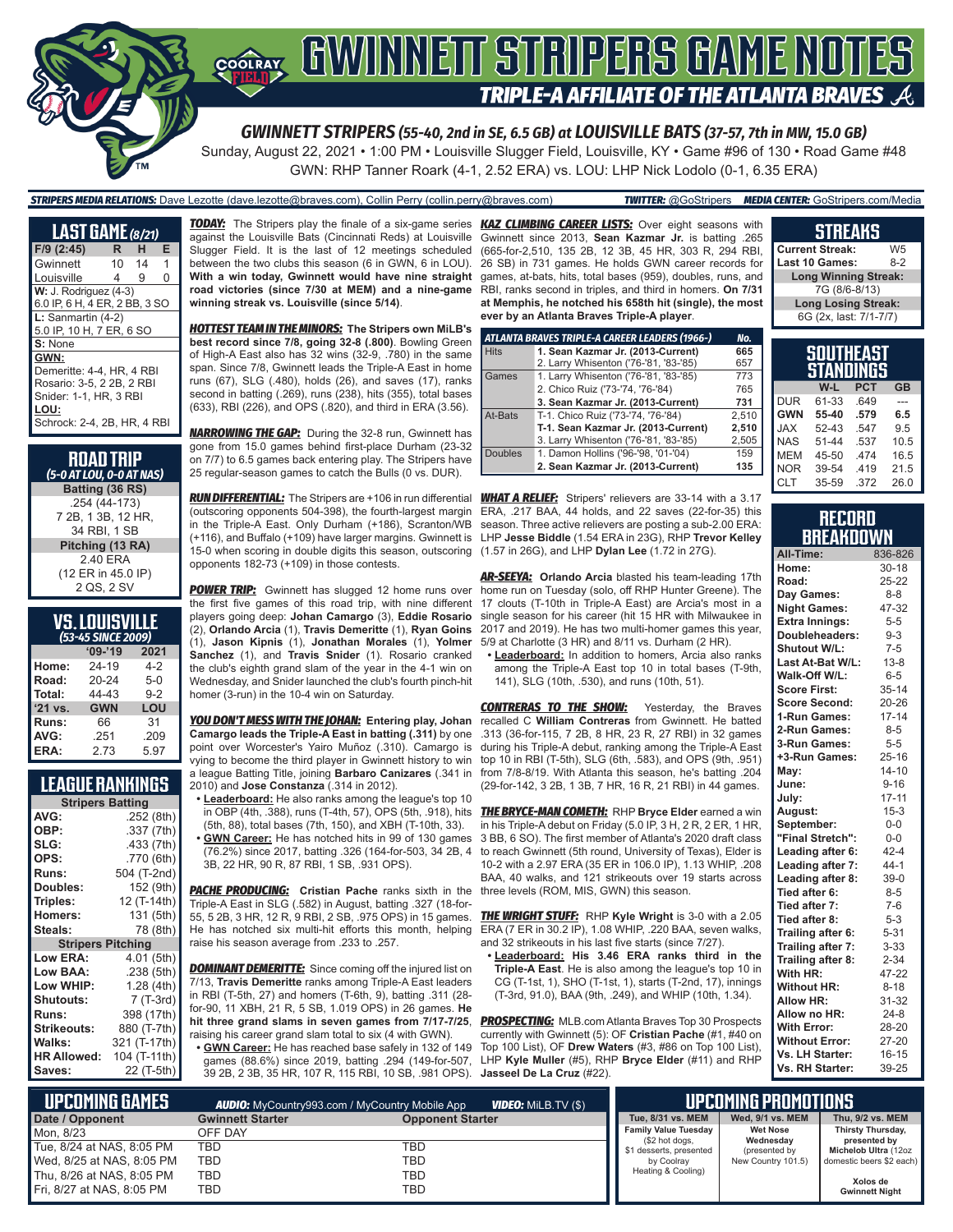

*GWINNETT STRIPERS (55-40, 2nd in SE, 6.5 GB) at LOUISVILLE BATS (37-57, 7th in MW, 15.0 GB)*

Sunday, August 22, 2021 • 1:00 PM • Louisville Slugger Field, Louisville, KY • Game #96 of 130 • Road Game #48 GWN: RHP Tanner Roark (4-1, 2.52 ERA) vs. LOU: LHP Nick Lodolo (0-1, 6.35 ERA)

### *STRIPERS MEDIA RELATIONS:* Dave Lezotte (dave.lezotte@braves.com), Collin Perry (collin.perry@braves.com) *TWITTER:* @GoStripers *MEDIA CENTER:* GoStripers.com/Media

| <b>LAST GAME</b> (8/21)                                                                                                         |    |    |   |
|---------------------------------------------------------------------------------------------------------------------------------|----|----|---|
| F/9 (2:45)                                                                                                                      | R. | н  | Е |
| Gwinnett                                                                                                                        | 10 | 14 | 1 |
| Louisville                                                                                                                      | 4  | 9  | O |
| $W: J.$ Rodriguez $(4-3)$<br>6.0 IP, 6 H, 4 ER, 2 BB, 3 SO                                                                      |    |    |   |
| $L:$ Sanmartin $(4-2)$<br>5.0 IP, 10 H, 7 ER, 6 SO                                                                              |    |    |   |
| S: None                                                                                                                         |    |    |   |
| GWN:<br>Demeritte: 4-4, HR, 4 RBI<br>Rosario: 3-5, 2 2B, 2 RBI<br>Snider: 1-1, HR, 3 RBI<br>LOU:<br>Schrock: 2-4, 2B, HR, 4 RBI |    |    |   |
|                                                                                                                                 |    |    |   |

#### **RoAD TRIP** *(5-0 AT LOU, 0-0 AT NAS)* **Batting (36 RS)** .254 (44-173) 7 2B, 1 3B, 12 HR, 34 RBI, 1 SB **Pitching (13 RA)** 2.40 ERA (12 ER in 45.0 IP) 2 QS, 2 SV

#### **VS. LOUISVILLE** *(53-45 SINCE 2009)*

|         | .<br>------ |         |
|---------|-------------|---------|
|         | $09 - 19$   | 2021    |
| Home:   | 24-19       | $4-2$   |
| Road:   | 20-24       | $5-0$   |
| Total:  | 44-43       | $9 - 2$ |
| '21 vs. | <b>GWN</b>  | LOU     |
| Runs:   | 66          | 31      |
| AVG:    | .251        | .209    |
| ERA:    | 2.73        | 5.97    |

### **LEAGUE RANKINGS**

| <b>Stripers Batting</b>  |              |
|--------------------------|--------------|
| AVG:                     | .252 (8th)   |
| OBP:                     | .337 (7th)   |
| SLG:                     | .433 (7th)   |
| OPS:                     | .770 (6th)   |
| <b>Runs:</b>             | 504 (T-2nd)  |
| Doubles:                 | 152 (9th)    |
| Triples:                 | 12 (T-14th)  |
| <b>Homers:</b>           | 131 (5th)    |
| Steals:                  | 78 (8th)     |
| <b>Stripers Pitching</b> |              |
| <b>Low ERA:</b>          | 4.01 (5th)   |
| Low BAA:                 | .238 (5th)   |
| Low WHIP:                | 1.28(4th)    |
| Shutouts:                | 7 (T-3rd)    |
| <b>Runs:</b>             | 398 (17th)   |
| <b>Strikeouts:</b>       | 880 (T-7th)  |
| Walks:                   | 321 (T-17th) |
| <b>HR Allowed:</b>       | 104 (T-11th) |
| Saves:                   | 22 (T-5th)   |

against the Louisville Bats (Cincinnati Reds) at Louisville Slugger Field. It is the last of 12 meetings scheduled between the two clubs this season (6 in GWN, 6 in LOU). **With a win today, Gwinnett would have nine straight road victories (since 7/30 at MEM) and a nine-game winning streak vs. Louisville (since 5/14)**.

*HOTTEST TEAM IN THE MINORS:* **The Stripers own MiLB's best record since 7/8, going 32-8 (.800)**. Bowling Green of High-A East also has 32 wins (32-9, .780) in the same span. Since 7/8, Gwinnett leads the Triple-A East in home runs (67), SLG (.480), holds (26), and saves (17), ranks second in batting (.269), runs (238), hits (355), total bases (633), RBI (226), and OPS (.820), and third in ERA (3.56).

*NARROWING THE GAP:* During the 32-8 run, Gwinnett has gone from 15.0 games behind first-place Durham (23-32 on 7/7) to 6.5 games back entering play. The Stripers have 25 regular-season games to catch the Bulls (0 vs. DUR).

*RUN DIFFERENTIAL:* The Stripers are +106 in run differential *WHAT A RELIEF:* Stripers' relievers are 33-14 with a 3.17 (outscoring opponents 504-398), the fourth-largest margin in the Triple-A East. Only Durham (+186), Scranton/WB (+116), and Buffalo (+109) have larger margins. Gwinnett is 15-0 when scoring in double digits this season, outscoring opponents 182-73 (+109) in those contests.

**POWER TRIP:** Gwinnett has slugged 12 home runs over the first five games of this road trip, with nine different players going deep: **Johan Camargo** (3), **Eddie Rosario** (1), **Jason Kipnis** (1), **Jonathan Morales** (1), **Yolmer Sanchez** (1), and **Travis Snider** (1). Rosario cranked the club's eighth grand slam of the year in the 4-1 win on Wednesday, and Snider launched the club's fourth pinch-hit homer (3-run) in the 10-4 win on Saturday.

*YOU DON'T MESS WITH THE JOHAN:* **Entering play, Johan Camargo leads the Triple-A East in batting (.311)** by one point over Worcester's Yairo Muñoz (.310). Camargo is vying to become the third player in Gwinnett history to win top 10 in RBI (T-5th), SLG (6th, .583), and OPS (9th, .951) a league Batting Title, joining **Barbaro Canizares** (.341 in 2010) and **Jose Constanza** (.314 in 2012).

- **• Leaderboard:** He also ranks among the league's top 10 in OBP (4th, .388), runs (T-4th, 57), OPS (5th, .918), hits (5th, 88), total bases (7th, 150), and XBH (T-10th, 33).
- **• GWN Career:** He has notched hits in 99 of 130 games (76.2%) since 2017, batting .326 (164-for-503, 34 2B, 4 3B, 22 HR, 90 R, 87 RBI, 1 SB, .931 OPS).

**PACHE PRODUCING:** Cristian Pache ranks sixth in the Triple-A East in SLG (.582) in August, batting .327 (18-for-55, 5 2B, 3 HR, 12 R, 9 RBI, 2 SB, .975 OPS) in 15 games. He has notched six multi-hit efforts this month, helping raise his season average from .233 to .257.

**DOMINANT DEMERITTE:** Since coming off the injured list on 7/13, **Travis Demeritte** ranks among Triple-A East leaders in RBI (T-5th, 27) and homers (T-6th, 9), batting .311 (28 for-90, 11 XBH, 21 R, 5 SB, 1.019 OPS) in 26 games. **He hit three grand slams in seven games from 7/17-7/25**, *PROSPECTING:* MLB.com Atlanta Braves Top 30 Prospects raising his career grand slam total to six (4 with GWN).

**• GWN Career:** He has reached base safely in 132 of 149 39 2B, 2 3B, 35 HR, 107 R, 115 RBI, 10 SB, .981 OPS). **Jasseel De La Cruz** (#22).

*TODAY:* The Stripers play the finale of a six-game series *KAZ CLIMBING CAREER LISTS:* Over eight seasons with Gwinnett since 2013, **Sean Kazmar Jr.** is batting .265 (665-for-2,510, 135 2B, 12 3B, 45 HR, 303 R, 294 RBI, 26 SB) in 731 games. He holds GWN career records for games, at-bats, hits, total bases (959), doubles, runs, and RBI, ranks second in triples, and third in homers. **On 7/31 at Memphis, he notched his 658th hit (single), the most ever by an Atlanta Braves Triple-A player**.

|                | ATLANTA BRAVES TRIPLE-A CAREER LEADERS (1966-) | No.   |
|----------------|------------------------------------------------|-------|
| <b>Hits</b>    | 1. Sean Kazmar Jr. (2013-Current)              | 665   |
|                | 2. Larry Whisenton ('76-'81, '83-'85)          | 657   |
| Games          | 1. Larry Whisenton ('76-'81, '83-'85)          | 773   |
|                | 2. Chico Ruiz ('73-'74, '76-'84)               | 765   |
|                | 3. Sean Kazmar Jr. (2013-Current)              | 731   |
| At-Bats        | T-1. Chico Ruiz ('73-'74, '76-'84)             | 2.510 |
|                | T-1. Sean Kazmar Jr. (2013-Current)            | 2.510 |
|                | 3. Larry Whisenton ('76-'81, '83-'85)          | 2,505 |
| <b>Doubles</b> | 1. Damon Hollins ('96-'98, '01-'04)            | 159   |
|                | 2. Sean Kazmar Jr. (2013-Current)              | 135   |

ERA, .217 BAA, 44 holds, and 22 saves (22-for-35) this season. Three active relievers are posting a sub-2.00 ERA: LHP **Jesse Biddle** (1.54 ERA in 23G), RHP **Trevor Kelley** (1.57 in 26G), and LHP **Dylan Lee** (1.72 in 27G).

(2), **Orlando Arcia** (1), **Travis Demeritte** (1), **Ryan Goins** 2017 and 2019). He has two multi-homer games this year, *AR-SEEYA:* **Orlando Arcia** blasted his team-leading 17th home run on Tuesday (solo, off RHP Hunter Greene). The 17 clouts (T-10th in Triple-A East) are Arcia's most in a single season for his career (hit 15 HR with Milwaukee in 5/9 at Charlotte (3 HR) and 8/11 vs. Durham (2 HR).

**• Leaderboard:** In addition to homers, Arcia also ranks among the Triple-A East top 10 in total bases (T-9th, 141), SLG (10th, .530), and runs (10th, 51).

**CONTRERAS TO THE SHOW:** Yesterday, the Braves recalled C **William Contreras** from Gwinnett. He batted .313 (36-for-115, 7 2B, 8 HR, 23 R, 27 RBI) in 32 games during his Triple-A debut, ranking among the Triple-A East from 7/8-8/19. With Atlanta this season, he's batting .204 (29-for-142, 3 2B, 1 3B, 7 HR, 16 R, 21 RBI) in 44 games.

*THE BRYCE-MAN COMETH:* RHP **Bryce Elder** earned a win in his Triple-A debut on Friday (5.0 IP, 3 H, 2 R, 2 ER, 1 HR, 3 BB, 6 SO). The first member of Atlanta's 2020 draft class to reach Gwinnett (5th round, University of Texas), Elder is 10-2 with a 2.97 ERA (35 ER in 106.0 IP), 1.13 WHIP, .208 BAA, 40 walks, and 121 strikeouts over 19 starts across three levels (ROM, MIS, GWN) this season.

*THE WRIGHT STUFF:* RHP **Kyle Wright** is 3-0 with a 2.05 ERA (7 ER in 30.2 IP), 1.08 WHIP, .220 BAA, seven walks, and 32 strikeouts in his last five starts (since 7/27).

**• Leaderboard: His 3.46 ERA ranks third in the Triple-A East**. He is also among the league's top 10 in CG (T-1st, 1), SHO (T-1st, 1), starts (T-2nd, 17), innings (T-3rd, 91.0), BAA (9th, .249), and WHIP (10th, 1.34).

games (88.6%) since 2019, batting .294 (149-for-507, LHP **Kyle Muller** (#5), RHP **Bryce Elder** (#11) and RHP currently with Gwinnett (5): OF **Cristian Pache** (#1, #40 on Top 100 List), OF **Drew Waters** (#3, #86 on Top 100 List),

#### **STREAKS Current Streak:** W5<br>**Last 10 Games:** 8-2 **Last 10 Games: Long Winning Streak:** 7G (8/6-8/13)

**Long Losing Streak:** 6G (2x, last: 7/1-7/7)

|            | SOUTHEAST<br>STANDINGS |            |                |
|------------|------------------------|------------|----------------|
|            | W-L                    | <b>PCT</b> | <b>GB</b>      |
| <b>DUR</b> | 61-33                  | .649       |                |
| <b>GWN</b> | 55-40                  | .579       | 6.5            |
| <b>JAX</b> | $52-43$                | .547       | 9 <sub>5</sub> |
| <b>NAS</b> | $51 - 44$              | .537       | 10.5           |
| <b>MEM</b> | 45-50                  | 474        | 16.5           |
| <b>NOR</b> | 39-54                  | .419       | 21.5           |
| <b>CLT</b> | 35-59                  | .372       | 26.0           |

|  |  | RECORD    |  |  |  |
|--|--|-----------|--|--|--|
|  |  | BREAKDOWN |  |  |  |

| All-Time:             | 836-826   |
|-----------------------|-----------|
| Home:                 | $30 - 18$ |
| Road:                 | 25-22     |
| Day Games:            | $8 - 8$   |
| <b>Night Games:</b>   | 47-32     |
| <b>Extra Innings:</b> | $5-5$     |
| Doubleheaders:        | $9 - 3$   |
| <b>Shutout W/L:</b>   | $7 - 5$   |
| Last At-Bat W/L:      | $13 - 8$  |
| Walk-Off W/L:         | $6-5$     |
| <b>Score First:</b>   | $35 - 14$ |
| <b>Score Second:</b>  | 20-26     |
| 1-Run Games:          | $17 - 14$ |
| 2-Run Games:          | $8 - 5$   |
| 3-Run Games:          | $5 - 5$   |
| +3-Run Games:         | $25 - 16$ |
| May:                  | $14 - 10$ |
| June:                 | $9 - 16$  |
| July:                 | $17 - 11$ |
| August:               | $15 - 3$  |
| September:            | $0-0$     |
| "Final Stretch":      | $0-0$     |
| Leading after 6:      | $42 - 4$  |
| Leading after 7:      | $44-1$    |
| Leading after 8:      | $39-0$    |
| Tied after 6:         | $8 - 5$   |
| Tied after 7:         | $7-6$     |
| Tied after 8:         | $5 - 3$   |
| Trailing after 6:     | $5 - 31$  |
| Trailing after 7:     | $3 - 33$  |
| Trailing after 8:     | $2 - 34$  |
| With HR:              | 47-22     |
| <b>Without HR:</b>    | $8 - 18$  |
| Allow HR:             | 31-32     |
| Allow no HR:          | $24-8$    |
| <b>With Error:</b>    | 28-20     |
| <b>Without Error:</b> | 27-20     |
| Vs. LH Starter:       | $16 - 15$ |
| Vs. RH Starter:       | 39-25     |

| NUPCOMING GAMES <b>T</b>  |                         | <b>VIDEO:</b> Milb.TV (\$)<br><b>AUDIO:</b> MyCountry993.com / MyCountry Mobile App |                                               | IIPCOMING PROMOTIONS.                          |
|---------------------------|-------------------------|-------------------------------------------------------------------------------------|-----------------------------------------------|------------------------------------------------|
| Date / Opponent           | <b>Gwinnett Starter</b> | <b>Opponent Starter</b>                                                             | Tue, 8/31 vs. MEM                             | Wed. 9/1 vs. MEM                               |
| Mon. 8/23                 | OFF DAY                 |                                                                                     | <b>Family Value Tuesday</b><br>(\$2 hot dogs, | <b>Wet Nose</b><br>Wednesday                   |
| Tue, 8/24 at NAS, 8:05 PM | TBD                     | TBD                                                                                 | \$1 desserts, presented                       | (presented by                                  |
| Wed, 8/25 at NAS, 8:05 PM | TBD                     | TBD                                                                                 | by Coolray                                    | domestic beers \$2 each)<br>New Country 101.5) |
| Thu, 8/26 at NAS, 8:05 PM | TBD                     | TBD                                                                                 | Heating & Cooling)                            |                                                |
| Fri, 8/27 at NAS, 8:05 PM | TBD                     | TBD                                                                                 |                                               |                                                |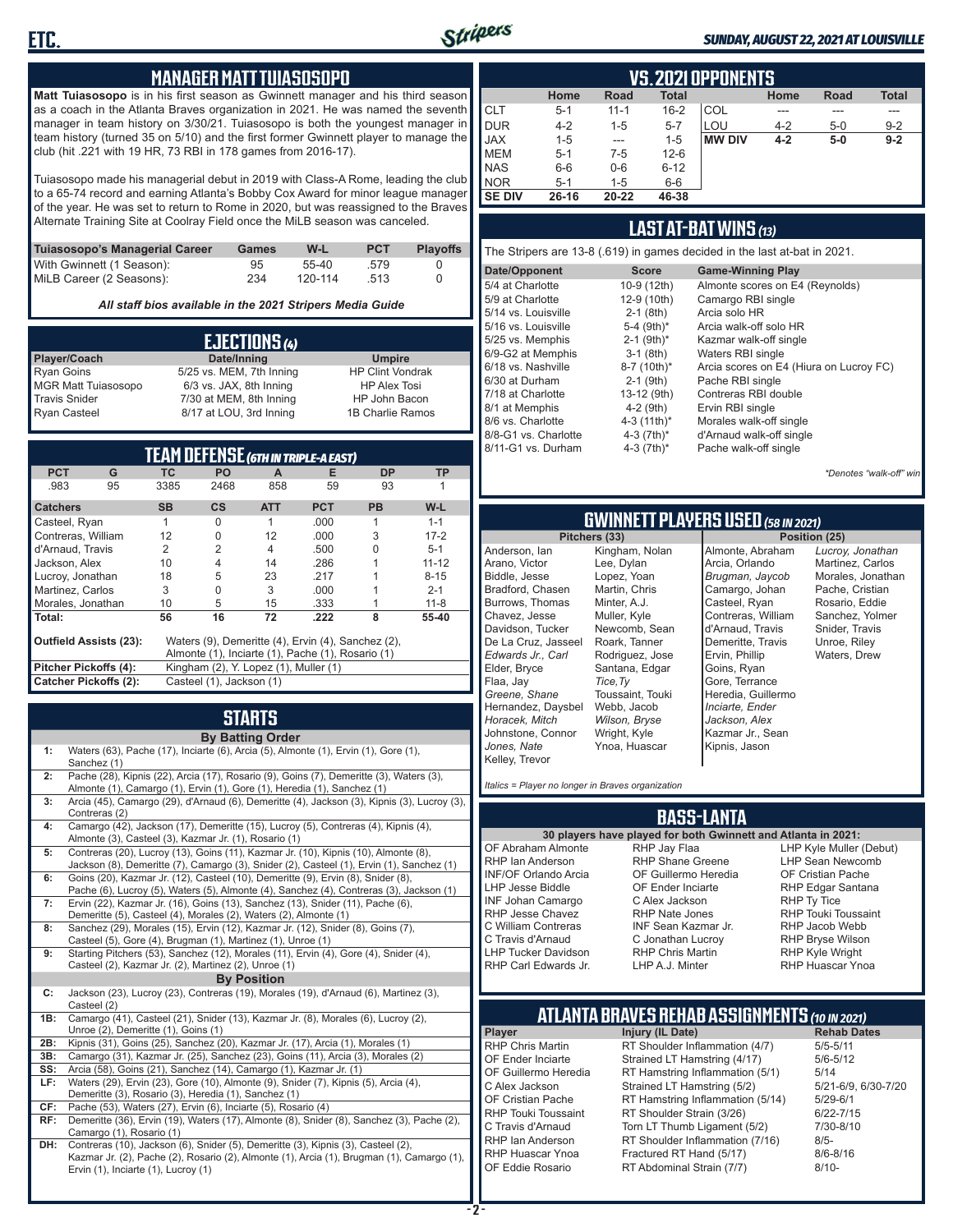

#### *SUNDAY, AUGUST 22, 2021 AT LOUISVILLE*

#### **MANAGER MATT TUIASOSOPO**

**Matt Tuiasosopo** is in his first season as Gwinnett manager and his third season as a coach in the Atlanta Braves organization in 2021. He was named the seventh manager in team history on 3/30/21. Tuiasosopo is both the youngest manager in team history (turned 35 on 5/10) and the first former Gwinnett player to manage the club (hit .221 with 19 HR, 73 RBI in 178 games from 2016-17).

Tuiasosopo made his managerial debut in 2019 with Class-A Rome, leading the club to a 65-74 record and earning Atlanta's Bobby Cox Award for minor league manager of the year. He was set to return to Rome in 2020, but was reassigned to the Braves Alternate Training Site at Coolray Field once the MiLB season was canceled.

| Tuiasosopo's Managerial Career | Games | W-L     | <b>PCT</b> | <b>Plavoffs</b> |
|--------------------------------|-------|---------|------------|-----------------|
| With Gwinnett (1 Season):      | 95    | 55-40   | .579       |                 |
| MiLB Career (2 Seasons):       | 234   | 120-114 | .513       |                 |

*All staff bios available in the 2021 Stripers Media Guide*

|                            | EJECTIONS (4)            |                         |
|----------------------------|--------------------------|-------------------------|
| Player/Coach               | Date/Inning              | <b>Umpire</b>           |
| <b>Ryan Goins</b>          | 5/25 vs. MEM, 7th Inning | <b>HP Clint Vondrak</b> |
| <b>MGR Matt Tuiasosopo</b> | 6/3 vs. JAX, 8th Inning  | <b>HP Alex Tosi</b>     |
| <b>Travis Snider</b>       | 7/30 at MEM, 8th Inning  | HP John Bacon           |
| <b>Ryan Casteel</b>        | 8/17 at LOU, 3rd Inning  | 1B Charlie Ramos        |

|                               |    |           |                                       |                | <b>TEAM DEFENSE (GTH IN TRIPLE-A EAST)</b>         |           |           |
|-------------------------------|----|-----------|---------------------------------------|----------------|----------------------------------------------------|-----------|-----------|
| <b>PCT</b>                    | G  | ТC        | <b>PO</b>                             | A              | Е                                                  | <b>DP</b> | TP        |
| .983                          | 95 | 3385      | 2468                                  | 858            | 59                                                 | 93        |           |
| <b>Catchers</b>               |    | <b>SB</b> | <b>CS</b>                             | <b>ATT</b>     | <b>PCT</b>                                         | <b>PB</b> | $W-L$     |
| Casteel, Ryan                 |    | 1         | $\Omega$                              | 1              | .000                                               | 1         | $1 - 1$   |
| Contreras, William            |    | 12        | 0                                     | 12             | .000                                               | 3         | $17 - 2$  |
| d'Arnaud, Travis              |    | 2         | $\overline{2}$                        | $\overline{4}$ | .500                                               |           | $5 - 1$   |
| Jackson, Alex                 |    | 10        | 4                                     | 14             | .286                                               |           | $11 - 12$ |
| Lucroy, Jonathan              |    | 18        | 5                                     | 23             | .217                                               |           | $8 - 15$  |
| Martinez, Carlos              |    | 3         | $\Omega$                              | 3              | .000                                               |           | $2 - 1$   |
| Morales, Jonathan             |    | 10        | 5                                     | 15             | .333                                               |           | $11 - 8$  |
| Total:                        |    | 56        | 16                                    | 72             | .222                                               | 8         | 55-40     |
| <b>Outfield Assists (23):</b> |    |           |                                       |                | Waters (9), Demeritte (4), Ervin (4), Sanchez (2), |           |           |
|                               |    |           |                                       |                | Almonte (1), Inciarte (1), Pache (1), Rosario (1)  |           |           |
| Pitcher Pickoffs (4):         |    |           | Kingham (2), Y. Lopez (1), Muller (1) |                |                                                    |           |           |
| <b>Catcher Pickoffs (2):</b>  |    |           | Casteel (1), Jackson (1)              |                |                                                    |           |           |

# **STARTS**

|     | <b>By Batting Order</b>                                                                                                                                                                                              |
|-----|----------------------------------------------------------------------------------------------------------------------------------------------------------------------------------------------------------------------|
| 1:  | Waters (63), Pache (17), Inciarte (6), Arcia (5), Almonte (1), Ervin (1), Gore (1),<br>Sanchez (1)                                                                                                                   |
| 2:  | Pache (28), Kipnis (22), Arcia (17), Rosario (9), Goins (7), Demeritte (3), Waters (3),<br>Almonte (1), Camargo (1), Ervin (1), Gore (1), Heredia (1), Sanchez (1)                                                   |
| 3:  | Arcia (45), Camargo (29), d'Arnaud (6), Demeritte (4), Jackson (3), Kipnis (3), Lucroy (3),<br>Contreras (2)                                                                                                         |
| 4:  | Camargo (42), Jackson (17), Demeritte (15), Lucroy (5), Contreras (4), Kipnis (4),<br>Almonte (3), Casteel (3), Kazmar Jr. (1), Rosario (1)                                                                          |
| 5:  | Contreras (20), Lucroy (13), Goins (11), Kazmar Jr. (10), Kipnis (10), Almonte (8),<br>Jackson (8), Demeritte (7), Camargo (3), Snider (2), Casteel (1), Ervin (1), Sanchez (1)                                      |
| 6:  | Goins (20), Kazmar Jr. (12), Casteel (10), Demeritte (9), Ervin (8), Snider (8),<br>Pache (6), Lucroy (5), Waters (5), Almonte (4), Sanchez (4), Contreras (3), Jackson (1)                                          |
| 7:  | Ervin (22), Kazmar Jr. (16), Goins (13), Sanchez (13), Snider (11), Pache (6),<br>Demeritte (5), Casteel (4), Morales (2), Waters (2), Almonte (1)                                                                   |
| 8:  | Sanchez (29), Morales (15), Ervin (12), Kazmar Jr. (12), Snider (8), Goins (7),<br>Casteel (5), Gore (4), Brugman (1), Martinez (1), Unroe (1)                                                                       |
| 9:  | Starting Pitchers (53), Sanchez (12), Morales (11), Ervin (4), Gore (4), Snider (4),<br>Casteel (2), Kazmar Jr. (2), Martinez (2), Unroe (1)                                                                         |
|     | <b>By Position</b>                                                                                                                                                                                                   |
| C:  | Jackson (23), Lucroy (23), Contreras (19), Morales (19), d'Arnaud (6), Martinez (3),<br>Casteel (2)                                                                                                                  |
| 1B: | Camargo (41), Casteel (21), Snider (13), Kazmar Jr. (8), Morales (6), Lucroy (2),<br>Unroe (2), Demeritte (1), Goins (1)                                                                                             |
| 2B: | Kipnis (31), Goins (25), Sanchez (20), Kazmar Jr. (17), Arcia (1), Morales (1)                                                                                                                                       |
| 3B: | Camargo (31), Kazmar Jr. (25), Sanchez (23), Goins (11), Arcia (3), Morales (2)                                                                                                                                      |
| SS: | Arcia (58), Goins (21), Sanchez (14), Camargo (1), Kazmar Jr. (1)                                                                                                                                                    |
| LF: | Waters (29), Ervin (23), Gore (10), Almonte (9), Snider (7), Kipnis (5), Arcia (4),<br>Demeritte (3), Rosario (3), Heredia (1), Sanchez (1)                                                                          |
| CF: | Pache (53), Waters (27), Ervin (6), Inciarte (5), Rosario (4)                                                                                                                                                        |
| RF: | Demeritte (36), Ervin (19), Waters (17), Almonte (8), Snider (8), Sanchez (3), Pache (2),<br>Camargo (1), Rosario (1)                                                                                                |
| DH: | Contreras (10), Jackson (6), Snider (5), Demeritte (3), Kipnis (3), Casteel (2),<br>Kazmar Jr. (2), Pache (2), Rosario (2), Almonte (1), Arcia (1), Brugman (1), Camargo (1),<br>Ervin (1), Inciarte (1), Lucroy (1) |

|               | <b>VS.2021 OPPONENTS</b> |          |              |               |         |       |              |  |  |  |  |  |  |
|---------------|--------------------------|----------|--------------|---------------|---------|-------|--------------|--|--|--|--|--|--|
|               | Home                     | Road     | <b>Total</b> |               | Home    | Road  | <b>Total</b> |  |  |  |  |  |  |
| <b>CLT</b>    | $5 - 1$                  | $11 - 1$ | $16 - 2$     | COL           |         | ---   | ---          |  |  |  |  |  |  |
| <b>DUR</b>    | $4 - 2$                  | $1 - 5$  | $5 - 7$      | LOU           | $4 - 2$ | $5-0$ | $9 - 2$      |  |  |  |  |  |  |
| <b>JAX</b>    | $1 - 5$                  | ---      | $1 - 5$      | <b>MW DIV</b> | $4 - 2$ | $5-0$ | $9 - 2$      |  |  |  |  |  |  |
| <b>MEM</b>    | $5 - 1$                  | $7-5$    | $12 - 6$     |               |         |       |              |  |  |  |  |  |  |
| <b>NAS</b>    | $6-6$                    | $0-6$    | $6 - 12$     |               |         |       |              |  |  |  |  |  |  |
| <b>NOR</b>    | $5 - 1$                  | $1 - 5$  | $6-6$        |               |         |       |              |  |  |  |  |  |  |
| <b>SE DIV</b> | $26 - 16$                | 20-22    | 46-38        |               |         |       |              |  |  |  |  |  |  |

#### **LAST AT-BAT WINS** *(13)*

The Stripers are 13-8 (.619) in games decided in the last at-bat in 2021.

| Date/Opponent        | <b>Score</b>             | <b>Game-Winning Play</b>                |
|----------------------|--------------------------|-----------------------------------------|
| 5/4 at Charlotte     | 10-9 (12th)              | Almonte scores on E4 (Reynolds)         |
| 5/9 at Charlotte     | 12-9 (10th)              | Camargo RBI single                      |
| 5/14 vs. Louisville  | $2-1$ (8th)              | Arcia solo HR                           |
| 5/16 vs. Louisville  | 5-4 (9th)*               | Arcia walk-off solo HR                  |
| 5/25 vs. Memphis     | $2-1$ (9th) <sup>*</sup> | Kazmar walk-off single                  |
| 6/9-G2 at Memphis    | $3-1$ (8th)              | Waters RBI single                       |
| 6/18 vs. Nashville   | 8-7 (10th)*              | Arcia scores on E4 (Hiura on Lucroy FC) |
| 6/30 at Durham       | $2-1$ (9th)              | Pache RBI single                        |
| 7/18 at Charlotte    | 13-12 (9th)              | Contreras RBI double                    |
| 8/1 at Memphis       | $4-2$ (9th)              | Ervin RBI single                        |
| 8/6 vs. Charlotte    | 4-3 (11th)*              | Morales walk-off single                 |
| 8/8-G1 vs. Charlotte | 4-3 $(7th)^*$            | d'Arnaud walk-off single                |
| 8/11-G1 vs. Durham   | 4-3 $(7th)*$             | Pache walk-off single                   |
|                      |                          |                                         |

*\*Denotes "walk-off" win*

# **GWINNETT PLAYERS USED** *(58 IN 2021)*

**Pitchers (33)** Anderson, Ian Arano, Victor Biddle, Jesse Bradford, Chasen Burrows, Thomas Chavez, Jesse Davidson, Tucker De La Cruz, Jasseel *Edwards Jr., Carl* Elder, Bryce Flaa, Jay *Greene, Shane*  Hernandez, Daysbel *Horacek, Mitch* Johnstone, Connor *Jones, Nate* Kelley, Trevor Lee, Dylan Minter, A.J. Muller, Kyle *Tice,Ty*

Kingham, Nolan Lopez, Yoan Martin, Chris Newcomb, Sean Roark, Tanner Rodriguez, Jose Santana, Edgar Toussaint, Touki Webb, Jacob *Wilson, Bryse* Wright, Kyle Ynoa, Huascar Almonte, Abraham Arcia, Orlando *Brugman, Jaycob* Camargo, Johan Casteel, Ryan Contreras, William d'Arnaud, Travis Demeritte, Travis Ervin, Phillip Goins, Ryan Gore, Terrance Heredia, Guillermo *Inciarte, Ender Jackson, Alex* Kazmar Jr., Sean Kipnis, Jason

*Lucroy, Jonathan* Martinez, Carlos Morales, Jonathan Pache, Cristian Rosario, Eddie Sanchez, Yolmer Snider, Travis Unroe, Riley Waters, Drew

*Italics = Player no longer in Braves organization*

#### **BASS-LANTA**

**30 players have played for both Gwinnett and Atlanta in 2021:** OF Abraham Almonte RHP Ian Anderson INF/OF Orlando Arcia LHP Jesse Biddle INF Johan Camargo RHP Jesse Chavez C William Contreras C Travis d'Arnaud LHP Tucker Davidson RHP Carl Edwards Jr.

RHP Jay Flaa RHP Shane Greene OF Guillermo Heredia OF Ender Inciarte C Alex Jackson RHP Nate Jones INF Sean Kazmar Jr. C Jonathan Lucroy RHP Chris Martin LHP A.J. Minter

LHP Kyle Muller (Debut) LHP Sean Newcomb OF Cristian Pache RHP Edgar Santana RHP Ty Tice RHP Touki Toussaint RHP Jacob Webb RHP Bryse Wilson RHP Kyle Wright RHP Huascar Ynoa

# **ATLANTA BRAVES REHAB ASSIGNMENTS** *(10 IN 2021)*

**Player Injury (IL Date)** RHP Chris Martin RT Shoulder Inflammation (4/7) 5/5-5/11<br>OF Ender Inciarte Strained LT Hamstring (4/17) 5/6-5/12 OF Ender Inciarte Strained LT Hamstring (4/17)<br>OF Guillermo Heredia RT Hamstring Inflammation (5) RT Hamstring Inflammation  $(5/1)$  5/14 C Alex Jackson Strained LT Hamstring (5/2) 5/21-6/9, 6/30-7/20 OF Cristian Pache RT Hamstring Inflammation (5/14) 5/29-6/1<br>RHP Touki Toussaint RT Shoulder Strain (3/26) 6/22-7/15 RHP Touki Toussaint RT Shoulder Strain (3/26) 6/22-7/15<br>C. Travis d'Arnaud C. Torn LT Thumb Ligament (5/2) 6/10-8/10 Torn LT Thumb Ligament (5/2) RHP Ian Anderson RT Shoulder Inflammation (7/16) 8/5-<br>RHP Huascar Ynoa Fractured RT Hand (5/17) 8/6-8/16 RHP Huascar Ynoa Fractured RT Hand (5/17)<br>OF Eddie Rosario RT Abdominal Strain (7/7) RT Abdominal Strain (7/7) 8/10-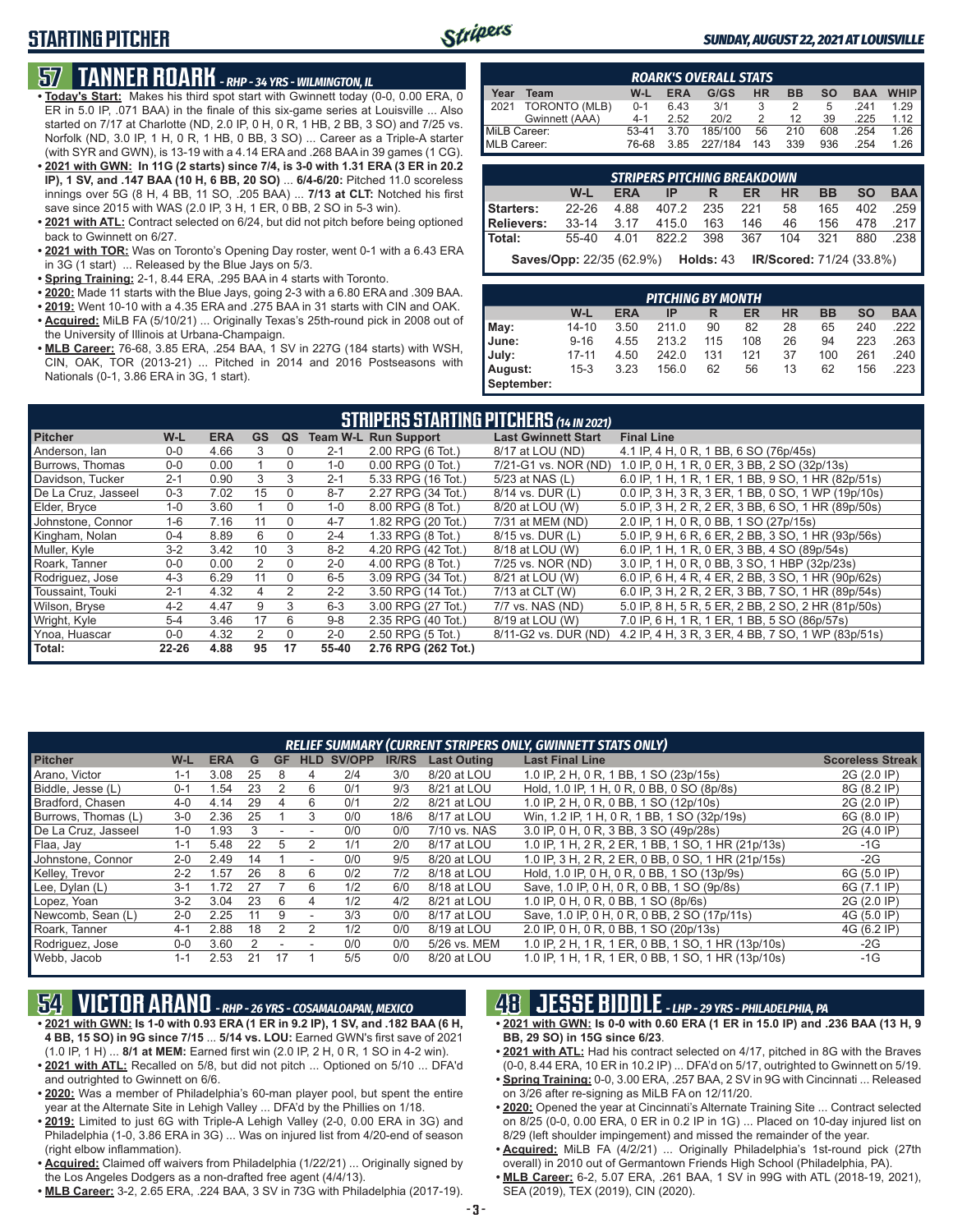# **STARTING PITCHER**



#### *SUNDAY, AUGUST 22, 2021 AT LOUISVILLE*

# **57 TANNER ROARK** *- RHP - 34 YRS - WILMINGTON, IL*

- **• Today's Start:** Makes his third spot start with Gwinnett today (0-0, 0.00 ERA, 0 ER in 5.0 IP, .071 BAA) in the finale of this six-game series at Louisville ... Also started on 7/17 at Charlotte (ND, 2.0 IP, 0 H, 0 R, 1 HB, 2 BB, 3 SO) and 7/25 vs. Norfolk (ND, 3.0 IP, 1 H, 0 R, 1 HB, 0 BB, 3 SO) ... Career as a Triple-A starter (with SYR and GWN), is 13-19 with a 4.14 ERA and .268 BAA in 39 games (1 CG).
- **• 2021 with GWN: In 11G (2 starts) since 7/4, is 3-0 with 1.31 ERA (3 ER in 20.2 IP), 1 SV, and .147 BAA (10 H, 6 BB, 20 SO)** ... **6/4-6/20:** Pitched 11.0 scoreless innings over 5G (8 H, 4 BB, 11 SO, .205 BAA) ... **7/13 at CLT:** Notched his first save since 2015 with WAS (2.0 IP, 3 H, 1 ER, 0 BB, 2 SO in 5-3 win).
- **• 2021 with ATL:** Contract selected on 6/24, but did not pitch before being optioned back to Gwinnett on 6/27.
- **• 2021 with TOR:** Was on Toronto's Opening Day roster, went 0-1 with a 6.43 ERA in 3G (1 start) ... Released by the Blue Jays on 5/3.
- **• Spring Training:** 2-1, 8.44 ERA, .295 BAA in 4 starts with Toronto.
- **• 2020:** Made 11 starts with the Blue Jays, going 2-3 with a 6.80 ERA and .309 BAA.
- **• 2019:** Went 10-10 with a 4.35 ERA and .275 BAA in 31 starts with CIN and OAK.
- **• Acquired:** MiLB FA (5/10/21) ... Originally Texas's 25th-round pick in 2008 out of the University of Illinois at Urbana-Champaign.
- **• MLB Career:** 76-68, 3.85 ERA, .254 BAA, 1 SV in 227G (184 starts) with WSH, CIN, OAK, TOR (2013-21) ... Pitched in 2014 and 2016 Postseasons with Nationals (0-1, 3.86 ERA in 3G, 1 start).

| <b>ROARK'S OVERALL STATS</b> |                |         |            |         |     |           |           |            |             |  |  |
|------------------------------|----------------|---------|------------|---------|-----|-----------|-----------|------------|-------------|--|--|
| Year                         | Team           | W-L     | <b>ERA</b> | G/GS    | HR  | <b>BB</b> | <b>SO</b> | <b>BAA</b> | <b>WHIP</b> |  |  |
| 2021                         | TORONTO (MLB)  | $0 - 1$ | 6.43       | 3/1     |     |           | 5         | 241        | 1 29        |  |  |
|                              | Gwinnett (AAA) | $4 - 1$ | 2.52       | 20/2    |     | 12        | 39        | .225       | 1.12        |  |  |
| MiLB Career:                 |                | $53-41$ | 3.70       | 185/100 | 56  | 210       | 608       | 254        | 1.26        |  |  |
| MLB Career:                  |                | 76-68   | 3.85       | 227/184 | 143 | 339       | 936       | 254        | 1.26        |  |  |

| <b>STRIPERS PITCHING BREAKDOWN</b>                 |     |  |                          |  |  |  |  |  |  |  |
|----------------------------------------------------|-----|--|--------------------------|--|--|--|--|--|--|--|
|                                                    | W-L |  | ERA IP R ER HR BB SO BAA |  |  |  |  |  |  |  |
| Starters: 22-26 4.88 407.2 235 221 58 165 402 .259 |     |  |                          |  |  |  |  |  |  |  |
| Relievers: 33-14 3.17 415.0 163 146 46 156 478 217 |     |  |                          |  |  |  |  |  |  |  |
| Total: 55-40 4.01 822.2 398 367 104 321 880 .238   |     |  |                          |  |  |  |  |  |  |  |
|                                                    |     |  |                          |  |  |  |  |  |  |  |

**Saves/Opp:** 22/35 (62.9%) **Holds:** 43 **IR/Scored:** 71/24 (33.8%)

| <b>PITCHING BY MONTH</b> |           |            |       |     |     |           |           |           |            |  |  |
|--------------------------|-----------|------------|-------|-----|-----|-----------|-----------|-----------|------------|--|--|
|                          | W-L       | <b>ERA</b> | IP    | R   | ER  | <b>HR</b> | <b>BB</b> | <b>SO</b> | <b>BAA</b> |  |  |
| May:                     | $14 - 10$ | 3.50       | 211.0 | 90  | 82  | 28        | 65        | 240       | .222       |  |  |
| June:                    | $9 - 16$  | 4.55       | 213.2 | 115 | 108 | 26        | 94        | 223       | .263       |  |  |
| July:                    | $17 - 11$ | 4.50       | 242.0 | 131 | 121 | 37        | 100       | 261       | .240       |  |  |
| August:                  | $15-3$    | 3.23       | 156.0 | 62  | 56  | 13        | 62        | 156       | .223       |  |  |
| September:               |           |            |       |     |     |           |           |           |            |  |  |

| <b>STRIPERS STARTING PITCHERS</b> (14 IN 2021) |           |            |           |          |         |                             |                            |                                                    |  |  |  |
|------------------------------------------------|-----------|------------|-----------|----------|---------|-----------------------------|----------------------------|----------------------------------------------------|--|--|--|
| <b>Pitcher</b>                                 | W-L       | <b>ERA</b> | <b>GS</b> | QS       |         | <b>Team W-L Run Support</b> | <b>Last Gwinnett Start</b> | <b>Final Line</b>                                  |  |  |  |
| Anderson, lan                                  | $0 - 0$   | 4.66       |           | 0        | $2 - 1$ | 2.00 RPG (6 Tot.)           | 8/17 at LOU (ND)           | 4.1 IP, 4 H, 0 R, 1 BB, 6 SO (76p/45s)             |  |  |  |
| Burrows, Thomas                                | $0 - 0$   | 0.00       |           | $\Omega$ | $1 - 0$ | 0.00 RPG (0 Tot.)           | 7/21-G1 vs. NOR (ND)       | 1.0 IP, 0 H, 1 R, 0 ER, 3 BB, 2 SO (32p/13s)       |  |  |  |
| Davidson, Tucker                               | $2 - 1$   | 0.90       | 3         | 3        | $2 - 1$ | 5.33 RPG (16 Tot.)          | 5/23 at NAS (L)            | 6.0 IP, 1 H, 1 R, 1 ER, 1 BB, 9 SO, 1 HR (82p/51s) |  |  |  |
| De La Cruz, Jasseel                            | $0 - 3$   | 7.02       | 15        | $\Omega$ | $8 - 7$ | 2.27 RPG (34 Tot.)          | 8/14 vs. DUR (L)           | 0.0 IP, 3 H, 3 R, 3 ER, 1 BB, 0 SO, 1 WP (19p/10s) |  |  |  |
| Elder, Bryce                                   | $1 - 0$   | 3.60       |           | $\Omega$ | $1 - 0$ | 8.00 RPG (8 Tot.)           | 8/20 at LOU (W)            | 5.0 IP, 3 H, 2 R, 2 ER, 3 BB, 6 SO, 1 HR (89p/50s) |  |  |  |
| Johnstone, Connor                              | $1-6$     | 7.16       | 11        | $\Omega$ | $4 - 7$ | 1.82 RPG (20 Tot.)          | 7/31 at MEM (ND)           | 2.0 IP, 1 H, 0 R, 0 BB, 1 SO (27p/15s)             |  |  |  |
| Kingham, Nolan                                 | $0 - 4$   | 8.89       | 6         | $\Omega$ | $2 - 4$ | 1.33 RPG (8 Tot.)           | 8/15 vs. DUR (L)           | 5.0 IP, 9 H, 6 R, 6 ER, 2 BB, 3 SO, 1 HR (93p/56s) |  |  |  |
| Muller, Kyle                                   | $3-2$     | 3.42       | 10        | 3        | $8 - 2$ | 4.20 RPG (42 Tot.)          | 8/18 at LOU (W)            | 6.0 IP, 1 H, 1 R, 0 ER, 3 BB, 4 SO (89p/54s)       |  |  |  |
| Roark, Tanner                                  | $0 - 0$   | 0.00       | 2         | $\Omega$ | $2 - 0$ | 4.00 RPG (8 Tot.)           | 7/25 vs. NOR (ND)          | 3.0 IP, 1 H, 0 R, 0 BB, 3 SO, 1 HBP (32p/23s)      |  |  |  |
| Rodriguez, Jose                                | $4 - 3$   | 6.29       | 11        | $\Omega$ | $6-5$   | 3.09 RPG (34 Tot.)          | 8/21 at LOU (W)            | 6.0 IP, 6 H, 4 R, 4 ER, 2 BB, 3 SO, 1 HR (90p/62s) |  |  |  |
| Toussaint. Touki                               | $2 - 1$   | 4.32       | 4         | 2        | $2 - 2$ | 3.50 RPG (14 Tot.)          | 7/13 at CLT (W)            | 6.0 IP, 3 H, 2 R, 2 ER, 3 BB, 7 SO, 1 HR (89p/54s) |  |  |  |
| Wilson, Bryse                                  | $4 - 2$   | 4.47       | 9         | 3        | $6 - 3$ | 3.00 RPG (27 Tot.)          | 7/7 vs. NAS (ND)           | 5.0 IP, 8 H, 5 R, 5 ER, 2 BB, 2 SO, 2 HR (81p/50s) |  |  |  |
| Wright, Kyle                                   | $5 - 4$   | 3.46       | 17        | 6        | $9 - 8$ | 2.35 RPG (40 Tot.)          | 8/19 at LOU (W)            | 7.0 IP, 6 H, 1 R, 1 ER, 1 BB, 5 SO (86p/57s)       |  |  |  |
| Ynoa, Huascar                                  | $0 - 0$   | 4.32       | 2         | $\Omega$ | $2 - 0$ | 2.50 RPG (5 Tot.)           | 8/11-G2 vs. DUR (ND)       | 4.2 IP, 4 H, 3 R, 3 ER, 4 BB, 7 SO, 1 WP (83p/51s) |  |  |  |
| Total:                                         | $22 - 26$ | 4.88       | 95        | 17       | 55-40   | 2.76 RPG (262 Tot.)         |                            |                                                    |  |  |  |

| RELIEF SUMMARY (CURRENT STRIPERS ONLY, GWINNETT STATS ONLY) |         |            |    |    |                          |        |              |                    |                                                           |                         |  |
|-------------------------------------------------------------|---------|------------|----|----|--------------------------|--------|--------------|--------------------|-----------------------------------------------------------|-------------------------|--|
| <b>Pitcher</b>                                              | W-L     | <b>ERA</b> | G  | GF | <b>HLD</b>               | SV/OPP | <b>IR/RS</b> | <b>Last Outing</b> | <b>Last Final Line</b>                                    | <b>Scoreless Streak</b> |  |
| Arano, Victor                                               | 1-1     | 3.08       | 25 | 8  | 4                        | 2/4    | 3/0          | 8/20 at LOU        | 1.0 IP, 2 H, 0 R, 1 BB, 1 SO (23p/15s)                    | 2G (2.0 IP)             |  |
| Biddle, Jesse (L)                                           | $0 - 1$ | l.54       | 23 |    | 6                        | 0/1    | 9/3          | 8/21 at LOU        | Hold, 1.0 IP, 1 H, 0 R, 0 BB, 0 SO (8p/8s)                | 8G (8.2 IP)             |  |
| Bradford, Chasen                                            | $4 - 0$ | 4.14       | 29 | 4  | 6                        | 0/1    | 2/2          | 8/21 at LOU        | 1.0 IP, 2 H, 0 R, 0 BB, 1 SO (12p/10s)                    | 2G (2.0 IP)             |  |
| Burrows, Thomas (L)                                         | $3-0$   | 2.36       | 25 |    | 3                        | 0/0    | 18/6         | 8/17 at LOU        | Win, 1.2 IP, 1 H, 0 R, 1 BB, 1 SO (32p/19s)               | 6G (8.0 IP)             |  |
| De La Cruz, Jasseel                                         | $1 - 0$ | .93        |    |    |                          | 0/0    | 0/0          | 7/10 vs. NAS       | 3.0 IP, 0 H, 0 R, 3 BB, 3 SO (49p/28s)                    | 2G (4.0 IP)             |  |
| Flaa, Jay                                                   | $1 - 1$ | 5.48       | 22 |    |                          | 1/1    | 2/0          | 8/17 at LOU        | 1.0 IP, 1 H, 2 R, 2 ER, 1 BB, 1 SO, 1 HR (21p/13s)        | -1G                     |  |
| Johnstone, Connor                                           | $2 - 0$ | 2.49       | 14 |    | $\overline{\phantom{a}}$ | 0/0    | 9/5          | 8/20 at LOU        | 1.0 IP, 3 H, 2 R, 2 ER, 0 BB, 0 SO, 1 HR (21p/15s)        | $-2G$                   |  |
| Kelley, Trevor                                              | $2 - 2$ | .57        | 26 | 8  | 6                        | 0/2    | 7/2          | 8/18 at LOU        | Hold, 1.0 IP, 0 H, 0 R, 0 BB, 1 SO (13p/9s)               | 6G (5.0 IP)             |  |
| Lee, Dylan (L)                                              | $3 - 1$ | 1.72       | 27 |    | 6                        | 1/2    | 6/0          | 8/18 at LOU        | Save, 1.0 IP, 0 H, 0 R, 0 BB, 1 SO (9p/8s)                | 6G (7.1 IP)             |  |
| Lopez, Yoan                                                 | $3-2$   | 3.04       | 23 | 6  | 4                        | 1/2    | 4/2          | 8/21 at LOU        | 1.0 IP, 0 H, 0 R, 0 BB, 1 SO (8p/6s)                      | 2G (2.0 IP)             |  |
| Newcomb, Sean (L)                                           | $2 - 0$ | 2.25       | 11 | 9  | $\overline{\phantom{a}}$ | 3/3    | 0/0          | 8/17 at LOU        | Save, 1.0 IP, 0 H, 0 R, 0 BB, 2 SO (17p/11s)              | 4G (5.0 IP)             |  |
| Roark, Tanner                                               | $4 - 1$ | 2.88       | 18 |    |                          | 1/2    | 0/0          | 8/19 at LOU        | 2.0 IP, 0 H, 0 R, 0 BB, 1 SO (20p/13s)                    | 4G (6.2 IP)             |  |
| Rodriguez, Jose                                             | $0 - 0$ | 3.60       |    |    |                          | 0/0    | 0/0          | 5/26 vs. MEM       | 1.0 IP, 2 H, 1 R, 1 ER, 0 BB, 1 SO, 1 HR (13p/10s)        | $-2G$                   |  |
| Webb, Jacob                                                 | 1-1     | 2.53       | 21 | 17 |                          | 5/5    | 0/0          | 8/20 at LOU        | I H, 1 R, 1 ER, 0 BB, 1 SO, 1 HR (13p/10s)<br>1.0 IP. $1$ | -1G                     |  |

# **54 VICTOR ARANO** *- RHP - 26 YRS - COSAMALOAPAN, MEXICO*

- **• 2021 with GWN: Is 1-0 with 0.93 ERA (1 ER in 9.2 IP), 1 SV, and .182 BAA (6 H, 4 BB, 15 SO) in 9G since 7/15** ... **5/14 vs. LOU:** Earned GWN's first save of 2021 (1.0 IP, 1 H) ... **8/1 at MEM:** Earned first win (2.0 IP, 2 H, 0 R, 1 SO in 4-2 win).
- **• 2021 with ATL:** Recalled on 5/8, but did not pitch ... Optioned on 5/10 ... DFA'd and outrighted to Gwinnett on 6/6.
- **• 2020:** Was a member of Philadelphia's 60-man player pool, but spent the entire year at the Alternate Site in Lehigh Valley ... DFA'd by the Phillies on 1/18.
- **• 2019:** Limited to just 6G with Triple-A Lehigh Valley (2-0, 0.00 ERA in 3G) and Philadelphia (1-0, 3.86 ERA in 3G) ... Was on injured list from 4/20-end of season (right elbow inflammation).
- **• Acquired:** Claimed off waivers from Philadelphia (1/22/21) ... Originally signed by the Los Angeles Dodgers as a non-drafted free agent (4/4/13).
- **• MLB Career:** 3-2, 2.65 ERA, .224 BAA, 3 SV in 73G with Philadelphia (2017-19).

### **48 JESSE BIDDLE** *- LHP - 29 YRS - PHILADELPHIA, PA*

- **• 2021 with GWN: Is 0-0 with 0.60 ERA (1 ER in 15.0 IP) and .236 BAA (13 H, 9 BB, 29 SO) in 15G since 6/23**.
- **• 2021 with ATL:** Had his contract selected on 4/17, pitched in 8G with the Braves (0-0, 8.44 ERA, 10 ER in 10.2 IP) ... DFA'd on 5/17, outrighted to Gwinnett on 5/19.
- **• Spring Training:** 0-0, 3.00 ERA, .257 BAA, 2 SV in 9G with Cincinnati ... Released on 3/26 after re-signing as MiLB FA on 12/11/20.
- **• 2020:** Opened the year at Cincinnati's Alternate Training Site ... Contract selected on 8/25 (0-0, 0.00 ERA, 0 ER in 0.2 IP in 1G) ... Placed on 10-day injured list on 8/29 (left shoulder impingement) and missed the remainder of the year.
- **• Acquired:** MiLB FA (4/2/21) ... Originally Philadelphia's 1st-round pick (27th overall) in 2010 out of Germantown Friends High School (Philadelphia, PA).
- **• MLB Career:** 6-2, 5.07 ERA, .261 BAA, 1 SV in 99G with ATL (2018-19, 2021), SEA (2019), TEX (2019), CIN (2020).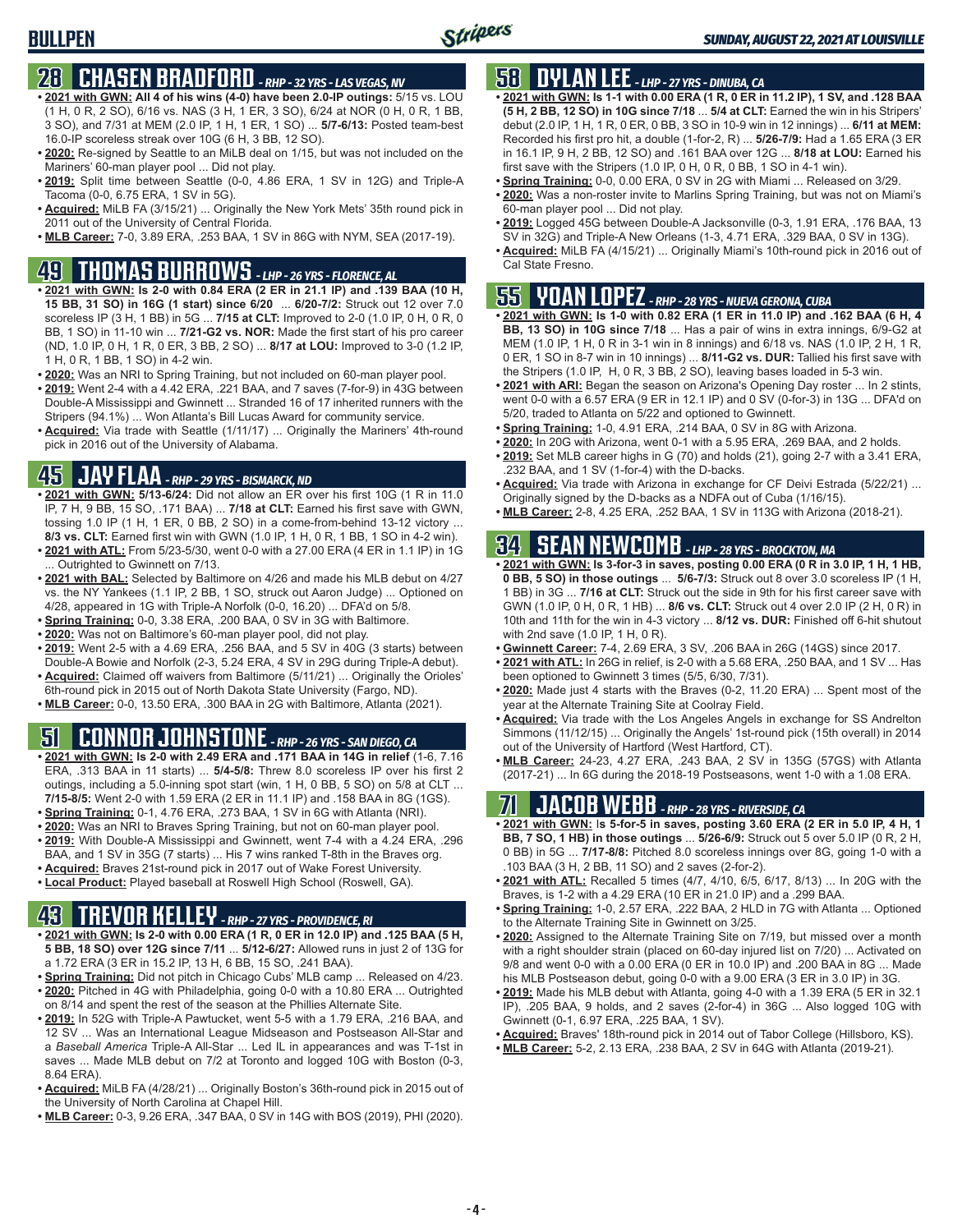### **28 CHASEN BRADFORD** *- RHP - 32 YRS - LAS VEGAS, NV*

- **• 2021 with GWN: All 4 of his wins (4-0) have been 2.0-IP outings:** 5/15 vs. LOU (1 H, 0 R, 2 SO), 6/16 vs. NAS (3 H, 1 ER, 3 SO), 6/24 at NOR (0 H, 0 R, 1 BB, 3 SO), and 7/31 at MEM (2.0 IP, 1 H, 1 ER, 1 SO) ... **5/7-6/13:** Posted team-best 16.0-IP scoreless streak over 10G (6 H, 3 BB, 12 SO).
- **• 2020:** Re-signed by Seattle to an MiLB deal on 1/15, but was not included on the Mariners' 60-man player pool ... Did not play.
- **• 2019:** Split time between Seattle (0-0, 4.86 ERA, 1 SV in 12G) and Triple-A Tacoma (0-0, 6.75 ERA, 1 SV in 5G).
- **• Acquired:** MiLB FA (3/15/21) ... Originally the New York Mets' 35th round pick in 2011 out of the University of Central Florida.
- **• MLB Career:** 7-0, 3.89 ERA, .253 BAA, 1 SV in 86G with NYM, SEA (2017-19).

### **49 THOMAS BURROWS** *- LHP - 26 YRS - FLORENCE, AL*

- **• 2021 with GWN: Is 2-0 with 0.84 ERA (2 ER in 21.1 IP) and .139 BAA (10 H, 15 BB, 31 SO) in 16G (1 start) since 6/20** ... **6/20-7/2:** Struck out 12 over 7.0 scoreless IP (3 H, 1 BB) in 5G ... **7/15 at CLT:** Improved to 2-0 (1.0 IP, 0 H, 0 R, 0 BB, 1 SO) in 11-10 win ... **7/21-G2 vs. NOR:** Made the first start of his pro career (ND, 1.0 IP, 0 H, 1 R, 0 ER, 3 BB, 2 SO) ... **8/17 at LOU:** Improved to 3-0 (1.2 IP, 1 H, 0 R, 1 BB, 1 SO) in 4-2 win.
- **• 2020:** Was an NRI to Spring Training, but not included on 60-man player pool.
- **• 2019:** Went 2-4 with a 4.42 ERA, .221 BAA, and 7 saves (7-for-9) in 43G between Double-A Mississippi and Gwinnett ... Stranded 16 of 17 inherited runners with the Stripers (94.1%) ... Won Atlanta's Bill Lucas Award for community service.
- **• Acquired:** Via trade with Seattle (1/11/17) ... Originally the Mariners' 4th-round pick in 2016 out of the University of Alabama.

# **45 JAY FLAA** *- RHP - 29 YRS - BISMARCK, ND*

- **• 2021 with GWN: 5/13-6/24:** Did not allow an ER over his first 10G (1 R in 11.0 IP, 7 H, 9 BB, 15 SO, .171 BAA) ... **7/18 at CLT:** Earned his first save with GWN, tossing 1.0 IP (1 H, 1 ER, 0 BB, 2 SO) in a come-from-behind 13-12 victory ... **8/3 vs. CLT:** Earned first win with GWN (1.0 IP, 1 H, 0 R, 1 BB, 1 SO in 4-2 win).
- **• 2021 with ATL:** From 5/23-5/30, went 0-0 with a 27.00 ERA (4 ER in 1.1 IP) in 1G Outrighted to Gwinnett on 7/13.
- **• 2021 with BAL:** Selected by Baltimore on 4/26 and made his MLB debut on 4/27 vs. the NY Yankees (1.1 IP, 2 BB, 1 SO, struck out Aaron Judge) ... Optioned on 4/28, appeared in 1G with Triple-A Norfolk (0-0, 16.20) ... DFA'd on 5/8.
- **• Spring Training:** 0-0, 3.38 ERA, .200 BAA, 0 SV in 3G with Baltimore.
- **• 2020:** Was not on Baltimore's 60-man player pool, did not play.
- **• 2019:** Went 2-5 with a 4.69 ERA, .256 BAA, and 5 SV in 40G (3 starts) between Double-A Bowie and Norfolk (2-3, 5.24 ERA, 4 SV in 29G during Triple-A debut).
- **• Acquired:** Claimed off waivers from Baltimore (5/11/21) ... Originally the Orioles' 6th-round pick in 2015 out of North Dakota State University (Fargo, ND).
- **• MLB Career:** 0-0, 13.50 ERA, .300 BAA in 2G with Baltimore, Atlanta (2021).

# **51 CONNOR JOHNSTONE** *- RHP - 26 YRS - SAN DIEGO, CA*

- **• 2021 with GWN: Is 2-0 with 2.49 ERA and .171 BAA in 14G in relief** (1-6, 7.16 ERA, .313 BAA in 11 starts) ... **5/4-5/8:** Threw 8.0 scoreless IP over his first 2 outings, including a 5.0-inning spot start (win, 1 H, 0 BB, 5 SO) on 5/8 at CLT ... **7/15-8/5:** Went 2-0 with 1.59 ERA (2 ER in 11.1 IP) and .158 BAA in 8G (1GS).
- **• Spring Training:** 0-1, 4.76 ERA, .273 BAA, 1 SV in 6G with Atlanta (NRI).
- **• 2020:** Was an NRI to Braves Spring Training, but not on 60-man player pool.
- **• 2019:** With Double-A Mississippi and Gwinnett, went 7-4 with a 4.24 ERA, .296 BAA, and 1 SV in 35G (7 starts) ... His 7 wins ranked T-8th in the Braves org.
- **• Acquired:** Braves 21st-round pick in 2017 out of Wake Forest University.
- **• Local Product:** Played baseball at Roswell High School (Roswell, GA).

# **43 TREVOR KELLEY** *- RHP - 27 YRS - PROVIDENCE, RI*

- **• 2021 with GWN: Is 2-0 with 0.00 ERA (1 R, 0 ER in 12.0 IP) and .125 BAA (5 H, 5 BB, 18 SO) over 12G since 7/11** ... **5/12-6/27:** Allowed runs in just 2 of 13G for a 1.72 ERA (3 ER in 15.2 IP, 13 H, 6 BB, 15 SO, .241 BAA).
- **• Spring Training:** Did not pitch in Chicago Cubs' MLB camp ... Released on 4/23. **• 2020:** Pitched in 4G with Philadelphia, going 0-0 with a 10.80 ERA ... Outrighted on 8/14 and spent the rest of the season at the Phillies Alternate Site.
- **• 2019:** In 52G with Triple-A Pawtucket, went 5-5 with a 1.79 ERA, .216 BAA, and 12 SV ... Was an International League Midseason and Postseason All-Star and a *Baseball America* Triple-A All-Star ... Led IL in appearances and was T-1st in saves ... Made MLB debut on 7/2 at Toronto and logged 10G with Boston (0-3, 8.64 ERA).
- **• Acquired:** MiLB FA (4/28/21) ... Originally Boston's 36th-round pick in 2015 out of the University of North Carolina at Chapel Hill.
- **• MLB Career:** 0-3, 9.26 ERA, .347 BAA, 0 SV in 14G with BOS (2019), PHI (2020).

# **58 DYLAN LEE** *- LHP - 27 YRS - DINUBA, CA*

- **• 2021 with GWN: Is 1-1 with 0.00 ERA (1 R, 0 ER in 11.2 IP), 1 SV, and .128 BAA (5 H, 2 BB, 12 SO) in 10G since 7/18** ... **5/4 at CLT:** Earned the win in his Stripers' debut (2.0 IP, 1 H, 1 R, 0 ER, 0 BB, 3 SO in 10-9 win in 12 innings) ... **6/11 at MEM:** Recorded his first pro hit, a double (1-for-2, R) ... **5/26-7/9:** Had a 1.65 ERA (3 ER in 16.1 IP, 9 H, 2 BB, 12 SO) and .161 BAA over 12G ... **8/18 at LOU:** Earned his first save with the Stripers (1.0 IP, 0 H, 0 R, 0 BB, 1 SO in 4-1 win).
- **• Spring Training:** 0-0, 0.00 ERA, 0 SV in 2G with Miami ... Released on 3/29.
- **• 2020:** Was a non-roster invite to Marlins Spring Training, but was not on Miami's 60-man player pool ... Did not play.
- **• 2019:** Logged 45G between Double-A Jacksonville (0-3, 1.91 ERA, .176 BAA, 13 SV in 32G) and Triple-A New Orleans (1-3, 4.71 ERA, .329 BAA, 0 SV in 13G).
- **• Acquired:** MiLB FA (4/15/21) ... Originally Miami's 10th-round pick in 2016 out of Cal State Fresno.

### **55 YOAN LOPEZ** *- RHP - 28 YRS - NUEVA GERONA, CUBA*

- **• 2021 with GWN: Is 1-0 with 0.82 ERA (1 ER in 11.0 IP) and .162 BAA (6 H, 4 BB, 13 SO) in 10G since 7/18** ... Has a pair of wins in extra innings, 6/9-G2 at MEM (1.0 IP, 1 H, 0 R in 3-1 win in 8 innings) and 6/18 vs. NAS (1.0 IP, 2 H, 1 R, 0 ER, 1 SO in 8-7 win in 10 innings) ... **8/11-G2 vs. DUR:** Tallied his first save with the Stripers (1.0 IP, H, 0 R, 3 BB, 2 SO), leaving bases loaded in 5-3 win.
- **• 2021 with ARI:** Began the season on Arizona's Opening Day roster ... In 2 stints, went 0-0 with a 6.57 ERA (9 ER in 12.1 IP) and 0 SV (0-for-3) in 13G ... DFA'd on 5/20, traded to Atlanta on 5/22 and optioned to Gwinnett.
- **• Spring Training:** 1-0, 4.91 ERA, .214 BAA, 0 SV in 8G with Arizona.
- **• 2020:** In 20G with Arizona, went 0-1 with a 5.95 ERA, .269 BAA, and 2 holds.
- **• 2019:** Set MLB career highs in G (70) and holds (21), going 2-7 with a 3.41 ERA, .232 BAA, and 1 SV (1-for-4) with the D-backs.
- **• Acquired:** Via trade with Arizona in exchange for CF Deivi Estrada (5/22/21) ... Originally signed by the D-backs as a NDFA out of Cuba (1/16/15).
- **• MLB Career:** 2-8, 4.25 ERA, .252 BAA, 1 SV in 113G with Arizona (2018-21).

### **34 SEAN NEWCOMB** *- LHP - 28 YRS - BROCKTON, MA*

- **• 2021 with GWN: Is 3-for-3 in saves, posting 0.00 ERA (0 R in 3.0 IP, 1 H, 1 HB, 0 BB, 5 SO) in those outings** ... **5/6-7/3:** Struck out 8 over 3.0 scoreless IP (1 H, 1 BB) in 3G ... **7/16 at CLT:** Struck out the side in 9th for his first career save with GWN (1.0 IP, 0 H, 0 R, 1 HB) ... **8/6 vs. CLT:** Struck out 4 over 2.0 IP (2 H, 0 R) in 10th and 11th for the win in 4-3 victory ... **8/12 vs. DUR:** Finished off 6-hit shutout with 2nd save (1.0 IP, 1 H, 0 R).
- **• Gwinnett Career:** 7-4, 2.69 ERA, 3 SV, .206 BAA in 26G (14GS) since 2017.
- **• 2021 with ATL:** In 26G in relief, is 2-0 with a 5.68 ERA, .250 BAA, and 1 SV ... Has been optioned to Gwinnett 3 times (5/5, 6/30, 7/31).
- **• 2020:** Made just 4 starts with the Braves (0-2, 11.20 ERA) ... Spent most of the year at the Alternate Training Site at Coolray Field.
- **• Acquired:** Via trade with the Los Angeles Angels in exchange for SS Andrelton Simmons (11/12/15) ... Originally the Angels' 1st-round pick (15th overall) in 2014 out of the University of Hartford (West Hartford, CT).
- **• MLB Career:** 24-23, 4.27 ERA, .243 BAA, 2 SV in 135G (57GS) with Atlanta (2017-21) ... In 6G during the 2018-19 Postseasons, went 1-0 with a 1.08 ERA.

# **71 JACOB WEBB** *- RHP - 28 YRS - RIVERSIDE, CA*

- **• 2021 with GWN:** I**s 5-for-5 in saves, posting 3.60 ERA (2 ER in 5.0 IP, 4 H, 1 BB, 7 SO, 1 HB) in those outings** ... **5/26-6/9:** Struck out 5 over 5.0 IP (0 R, 2 H, 0 BB) in 5G ... **7/17-8/8:** Pitched 8.0 scoreless innings over 8G, going 1-0 with a .103 BAA (3 H, 2 BB, 11 SO) and 2 saves (2-for-2).
- **• 2021 with ATL:** Recalled 5 times (4/7, 4/10, 6/5, 6/17, 8/13) ... In 20G with the Braves, is 1-2 with a 4.29 ERA (10 ER in 21.0 IP) and a .299 BAA.
- **• Spring Training:** 1-0, 2.57 ERA, .222 BAA, 2 HLD in 7G with Atlanta ... Optioned to the Alternate Training Site in Gwinnett on 3/25.
- **• 2020:** Assigned to the Alternate Training Site on 7/19, but missed over a month with a right shoulder strain (placed on 60-day injured list on 7/20) ... Activated on 9/8 and went 0-0 with a 0.00 ERA (0 ER in 10.0 IP) and .200 BAA in 8G ... Made his MLB Postseason debut, going 0-0 with a 9.00 ERA (3 ER in 3.0 IP) in 3G.
- **• 2019:** Made his MLB debut with Atlanta, going 4-0 with a 1.39 ERA (5 ER in 32.1 IP), .205 BAA, 9 holds, and 2 saves (2-for-4) in 36G ... Also logged 10G with Gwinnett (0-1, 6.97 ERA, .225 BAA, 1 SV).
- **• Acquired:** Braves' 18th-round pick in 2014 out of Tabor College (Hillsboro, KS).
- **• MLB Career:** 5-2, 2.13 ERA, .238 BAA, 2 SV in 64G with Atlanta (2019-21).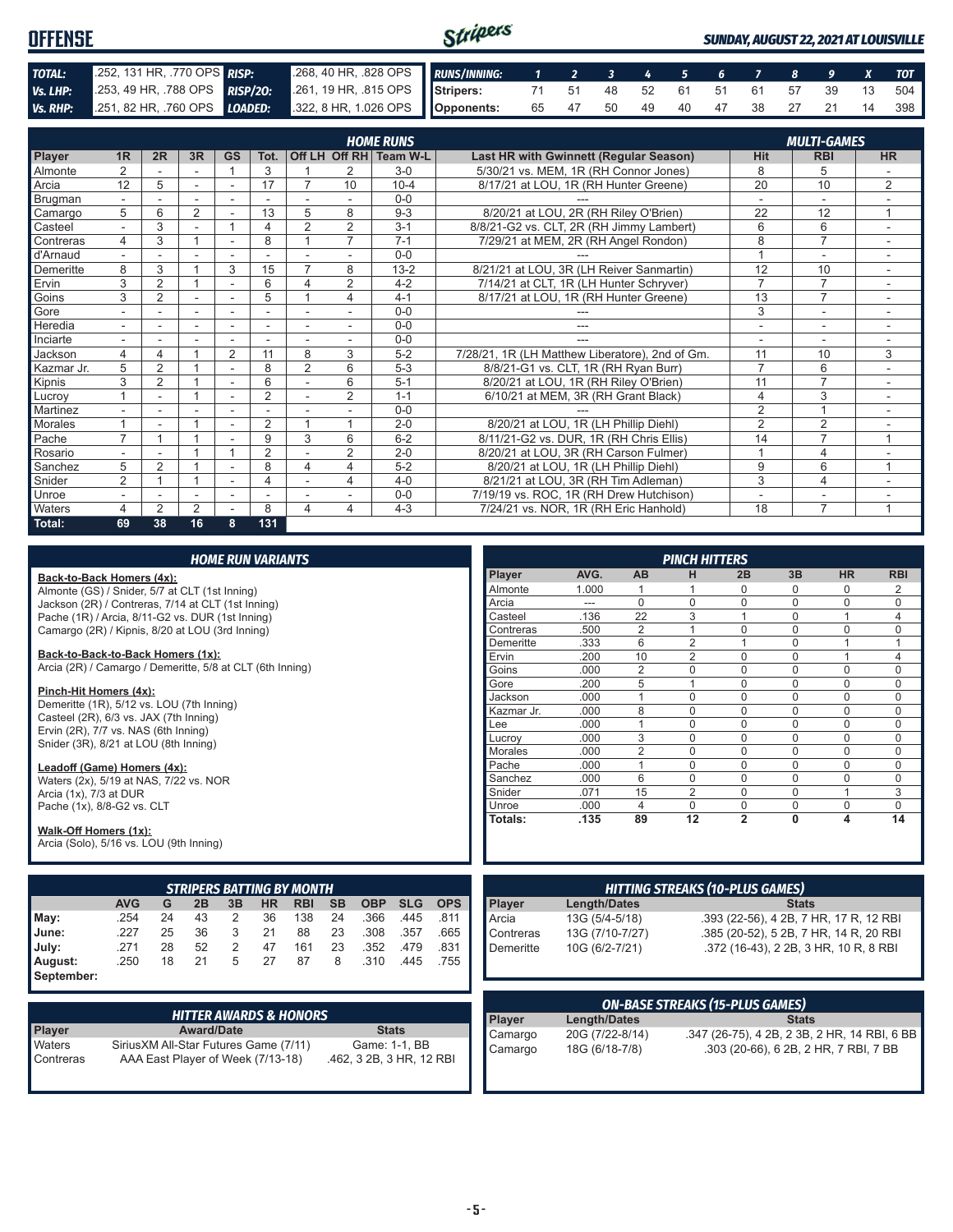| <b>OFFENSE</b> |                              |                                                                                          | Stripers |                               |  |  |  |  | SUNDAY, AUGUST 22, 2021 AT LOUISVILLE |
|----------------|------------------------------|------------------------------------------------------------------------------------------|----------|-------------------------------|--|--|--|--|---------------------------------------|
| TOTAL:         | .252, 131 HR, .770 OPS RISP: | 268, 40 HR, 828 OPS RUNS/INNING: 1 2 3 4 5 6 7 8 9 X TOT                                 |          |                               |  |  |  |  |                                       |
| Vs. LHP:       |                              | 253, 49 HR, 788 OPS RISP/20: 261, 19 HR, 815 OPS Stripers: 71 51 48 52 61 51 61 57 39 13 |          |                               |  |  |  |  | 504 l                                 |
|                |                              | Vs. RHP: 251, 82 HR, 760 OPS LOADED: 322, 8 HR, 1.026 OPS Opponents:                     |          | 65 47 50 49 40 47 38 27 21 14 |  |  |  |  | 398 I                                 |

|            | <b>HOME RUNS</b><br><b>MULTI-GAMES</b> |                |                |                          |                         |                |                |                        |                                                 |                |                |                |
|------------|----------------------------------------|----------------|----------------|--------------------------|-------------------------|----------------|----------------|------------------------|-------------------------------------------------|----------------|----------------|----------------|
| Player     | 1R                                     | 2R             | 3R             | <b>GS</b>                | Tot.                    |                |                | Off LH Off RH Team W-L | Last HR with Gwinnett (Regular Season)          | <b>Hit</b>     | <b>RBI</b>     | <b>HR</b>      |
| Almonte    | $\mathfrak{p}$                         |                |                |                          | 3                       |                | 2              | $3-0$                  | 5/30/21 vs. MEM, 1R (RH Connor Jones)           | 8              | 5              |                |
| Arcia      | 12                                     | 5              | ۰              | ۰                        | 17                      |                | 10             | $10 - 4$               | 8/17/21 at LOU, 1R (RH Hunter Greene)           | 20             | 10             | $\overline{2}$ |
| Brugman    |                                        |                |                |                          |                         |                |                | $0 - 0$                |                                                 |                | $\overline{a}$ |                |
| Camargo    | 5                                      | 6              | 2              |                          | 13                      | 5              | 8              | $9 - 3$                | 8/20/21 at LOU, 2R (RH Riley O'Brien)           | 22             | 12             | $\mathbf{1}$   |
| Casteel    | $\sim$                                 | 3              |                |                          | 4                       | $\overline{2}$ | 2              | $3 - 1$                | 8/8/21-G2 vs. CLT, 2R (RH Jimmy Lambert)        | 6              | 6              | ٠              |
| Contreras  | 4                                      | 3              |                |                          | 8                       |                | $\overline{7}$ | $7 - 1$                | 7/29/21 at MEM, 2R (RH Angel Rondon)            | 8              | $\overline{7}$ |                |
| d'Arnaud   |                                        |                |                |                          |                         |                |                | $0 - 0$                |                                                 |                | ۰              |                |
| Demeritte  | 8                                      | 3              |                | 3                        | 15                      | $\overline{7}$ | 8              | $13 - 2$               | 8/21/21 at LOU, 3R (LH Reiver Sanmartin)        | 12             | 10             |                |
| Ervin      | 3                                      | $\overline{2}$ |                | ٠                        | 6                       | 4              | $\overline{2}$ | $4 - 2$                | 7/14/21 at CLT, 1R (LH Hunter Schryver)         | $\overline{7}$ | $\overline{7}$ |                |
| Goins      | 3                                      | $\overline{2}$ |                | ٠                        | 5                       |                | 4              | $4 - 1$                | 8/17/21 at LOU, 1R (RH Hunter Greene)           | 13             | $\overline{7}$ | ٠              |
| Gore       |                                        |                | ٠              |                          |                         |                |                | $0 - 0$                |                                                 | 3              | $\overline{a}$ |                |
| Heredia    |                                        |                | ٠              |                          |                         |                |                | $0 - 0$                | ---                                             | ٠              | ٠              | $\sim$         |
| Inciarte   |                                        |                |                |                          |                         |                |                | $0 - 0$                |                                                 |                |                |                |
| Jackson    | 4                                      | 4              |                | $\overline{2}$           | 11                      | 8              | 3              | $5 - 2$                | 7/28/21, 1R (LH Matthew Liberatore), 2nd of Gm. | 11             | 10             | 3              |
| Kazmar Jr. | 5                                      | $\overline{2}$ |                | ٠                        | 8                       | $\overline{2}$ | 6              | $5-3$                  | 8/8/21-G1 vs. CLT, 1R (RH Ryan Burr)            | $\overline{7}$ | 6              |                |
| Kipnis     | 3                                      | $\overline{2}$ |                | $\overline{\phantom{a}}$ | 6                       |                | 6              | $5 - 1$                | 8/20/21 at LOU, 1R (RH Riley O'Brien)           | 11             | $\overline{7}$ |                |
| Lucrov     |                                        | ٠              |                | ٠                        | $\overline{2}$          |                | $\overline{2}$ | $1 - 1$                | 6/10/21 at MEM, 3R (RH Grant Black)             | $\overline{4}$ | 3              | ٠              |
| Martinez   |                                        |                |                |                          |                         |                |                | $0 - 0$                |                                                 | $\overline{2}$ | $\overline{A}$ |                |
| Morales    |                                        |                |                |                          | $\overline{2}$          |                |                | $2 - 0$                | 8/20/21 at LOU, 1R (LH Phillip Diehl)           | $\overline{2}$ | $\overline{2}$ |                |
| Pache      | $\overline{ }$                         |                |                |                          | 9                       | 3              | 6              | $6 - 2$                | 8/11/21-G2 vs. DUR, 1R (RH Chris Ellis)         | 14             | $\overline{7}$ | 1              |
| Rosario    |                                        |                |                |                          | $\overline{2}$          |                | 2              | $2 - 0$                | 8/20/21 at LOU, 3R (RH Carson Fulmer)           | $\overline{ }$ | $\overline{4}$ |                |
| Sanchez    | 5                                      | $\overline{2}$ |                | ۰                        | 8                       | 4              | 4              | $5 - 2$                | 8/20/21 at LOU, 1R (LH Phillip Diehl)           | 9              | 6              | $\overline{1}$ |
| Snider     | $\overline{2}$                         |                |                | $\sim$                   | $\overline{\mathbf{4}}$ |                | 4              | $4 - 0$                | 8/21/21 at LOU, 3R (RH Tim Adleman)             | 3              | $\overline{4}$ | ÷.             |
| Unroe      |                                        |                | ۰              |                          |                         |                |                | $0 - 0$                | 7/19/19 vs. ROC, 1R (RH Drew Hutchison)         | ۰              | ۰              |                |
| Waters     | 4                                      | $\overline{2}$ | $\overline{2}$ |                          | 8                       | 4              | 4              | $4 - 3$                | 7/24/21 vs. NOR, 1R (RH Eric Hanhold)           | 18             | $\overline{7}$ |                |
| Total:     | 69                                     | 38             | 16             | 8                        | 131                     |                |                |                        |                                                 |                |                |                |

|                                                               |                                       |    | <b>HOME RUN VARIANTS</b> |    |           |                                   |           |               | <b>PINCH HITTERS</b> |            |                                        |                     |                 |                                        |                |              |                                              |             |
|---------------------------------------------------------------|---------------------------------------|----|--------------------------|----|-----------|-----------------------------------|-----------|---------------|----------------------|------------|----------------------------------------|---------------------|-----------------|----------------------------------------|----------------|--------------|----------------------------------------------|-------------|
| Back-to-Back Homers (4x):                                     |                                       |    |                          |    |           |                                   |           |               |                      |            | Player                                 | AVG.                | AB              | н                                      | 2B             | 3B           | <b>HR</b>                                    | <b>RBI</b>  |
| Almonte (GS) / Snider, 5/7 at CLT (1st Inning)                |                                       |    |                          |    |           |                                   |           |               |                      |            | Almonte                                | 1.000               |                 | 1                                      | 0              | $\Omega$     | $\mathbf 0$                                  | 2           |
| Jackson (2R) / Contreras, 7/14 at CLT (1st Inning)            |                                       |    |                          |    |           |                                   |           |               |                      |            | Arcia                                  | $---$               | 0               | $\mathbf 0$                            | $\overline{0}$ | $\mathbf{0}$ | $\mathbf 0$                                  | 0           |
| Pache (1R) / Arcia, 8/11-G2 vs. DUR (1st Inning)              |                                       |    |                          |    |           |                                   |           |               |                      |            | Casteel                                | .136                | $\overline{22}$ | $\overline{3}$                         | $\overline{1}$ | $\mathbf{0}$ | $\mathbf{1}$                                 | 4           |
| Camargo (2R) / Kipnis, 8/20 at LOU (3rd Inning)               |                                       |    |                          |    |           |                                   |           |               |                      |            | Contreras                              | .500                | $\overline{2}$  | $\mathbf{1}$                           | $\Omega$       | $\mathbf{0}$ | $\mathbf 0$                                  | 0           |
|                                                               |                                       |    |                          |    |           |                                   |           |               |                      |            | Demeritte                              | .333                | 6               | $\overline{2}$                         | 1              | $\mathbf{0}$ | $\overline{1}$                               | 1           |
| Back-to-Back-to-Back Homers (1x):                             |                                       |    |                          |    |           |                                   |           |               |                      |            | Ervin                                  | .200                | 10              | $\overline{2}$                         | $\Omega$       | $\Omega$     | 1                                            | 4           |
| Arcia (2R) / Camargo / Demeritte, 5/8 at CLT (6th Inning)     |                                       |    |                          |    |           |                                   |           |               |                      |            | Goins                                  | .000                | $\overline{2}$  | $\Omega$                               | $\Omega$       | $\Omega$     | $\Omega$                                     | 0           |
| Pinch-Hit Homers (4x):                                        |                                       |    |                          |    |           |                                   |           |               |                      |            | Gore                                   | .200                | 5               | $\mathbf{1}$                           | $\Omega$       | $\Omega$     | $\Omega$                                     | 0           |
| Demeritte (1R), 5/12 vs. LOU (7th Inning)                     |                                       |    |                          |    |           |                                   |           |               |                      |            | Jackson                                | .000                | $\mathbf{1}$    | $\Omega$                               | $\Omega$       | $\Omega$     | $\Omega$                                     | $\Omega$    |
| Casteel (2R), 6/3 vs. JAX (7th Inning)                        |                                       |    |                          |    |           |                                   |           |               |                      |            | Kazmar Jr.                             | .000                | 8               | $\Omega$                               | 0              | $\Omega$     | $\mathbf 0$                                  | 0           |
| Ervin (2R), 7/7 vs. NAS (6th Inning)                          |                                       |    |                          |    |           |                                   |           |               |                      |            | Lee                                    | .000                | $\mathbf{1}$    | $\Omega$                               | $\Omega$       | $\Omega$     | $\mathbf 0$                                  | 0           |
| Snider (3R), 8/21 at LOU (8th Inning)                         |                                       |    |                          |    |           |                                   |           |               |                      |            | Lucrov                                 | .000                | 3               | $\Omega$                               | $\Omega$       | $\Omega$     | $\mathbf 0$                                  | $\Omega$    |
|                                                               |                                       |    |                          |    |           |                                   |           |               |                      |            | Morales                                | .000                | $\overline{2}$  | $\mathbf 0$                            | $\overline{0}$ | $\Omega$     | $\mathbf 0$                                  | $\mathbf 0$ |
| Leadoff (Game) Homers (4x):                                   |                                       |    |                          |    |           |                                   |           |               |                      |            | Pache                                  | .000                | $\mathbf{1}$    | $\Omega$                               | $\Omega$       | $\mathbf{0}$ | $\mathbf 0$                                  | 0           |
| Waters (2x), 5/19 at NAS, 7/22 vs. NOR                        |                                       |    |                          |    |           |                                   |           |               |                      |            | Sanchez                                | .000                | $\overline{6}$  | $\Omega$                               | $\Omega$       | $\Omega$     | $\mathbf 0$                                  | 0           |
| Arcia (1x), 7/3 at DUR                                        |                                       |    |                          |    |           |                                   |           |               |                      |            | Snider                                 | .071                | 15              | $\overline{2}$                         | $\Omega$       | $\mathbf{0}$ | $\overline{1}$                               | 3           |
| Pache (1x), 8/8-G2 vs. CLT                                    |                                       |    |                          |    |           |                                   |           |               |                      |            | Unroe                                  | .000                | $\overline{4}$  | $\mathbf 0$                            | $\overline{0}$ | $\Omega$     | $\mathbf 0$                                  | $\mathbf 0$ |
| Walk-Off Homers (1x):                                         |                                       |    |                          |    |           |                                   |           |               |                      |            | Totals:                                | .135                | 89              | 12                                     | $\overline{2}$ | 0            | $\overline{\mathbf{A}}$                      | 14          |
| Arcia (Solo), 5/16 vs. LOU (9th Inning)                       |                                       |    |                          |    |           |                                   |           |               |                      |            |                                        |                     |                 |                                        |                |              |                                              |             |
|                                                               |                                       |    |                          |    |           |                                   |           |               |                      |            |                                        |                     |                 |                                        |                |              |                                              |             |
|                                                               |                                       |    |                          |    |           | <b>STRIPERS BATTING BY MONTH</b>  |           |               |                      |            |                                        |                     |                 |                                        |                |              |                                              |             |
|                                                               | <b>AVG</b>                            | G  | 2B                       | 3B | <b>HR</b> | <b>RBI</b>                        | <b>SB</b> | <b>OBP</b>    | <b>SLG</b>           | <b>OPS</b> | Player                                 | <b>Length/Dates</b> |                 | <b>HITTING STREAKS (10-PLUS GAMES)</b> |                | <b>Stats</b> |                                              |             |
| May:                                                          | .254                                  | 24 | 43                       | 2  | 36        | 138                               | 24        | .366          | .445                 | .811       | Arcia                                  |                     |                 |                                        |                |              |                                              |             |
| June:                                                         | .227                                  | 25 | 36                       | 3  | 21        | 88                                | 23        | .308          | .357                 | .665       |                                        | 13G (5/4-5/18)      |                 |                                        |                |              | .393 (22-56), 4 2B, 7 HR, 17 R, 12 RBI       |             |
|                                                               |                                       |    |                          |    |           |                                   |           |               |                      |            | Contreras                              | 13G (7/10-7/27)     |                 |                                        |                |              | .385 (20-52), 5 2B, 7 HR, 14 R, 20 RBI       |             |
| July:                                                         | .271                                  | 28 | 52                       | 2  | 47        | 161                               | 23        | .352          | .479                 | .831       | Demeritte                              | 10G (6/2-7/21)      |                 |                                        |                |              | .372 (16-43), 2 2B, 3 HR, 10 R, 8 RBI        |             |
| August:                                                       | .250                                  | 18 | 21                       | 5  | 27        | 87                                | 8         | .310          | .445                 | .755       |                                        |                     |                 |                                        |                |              |                                              |             |
| September:                                                    |                                       |    |                          |    |           |                                   |           |               |                      |            |                                        |                     |                 |                                        |                |              |                                              |             |
|                                                               |                                       |    |                          |    |           |                                   |           |               |                      |            | <b>ON-BASE STREAKS (15-PLUS GAMES)</b> |                     |                 |                                        |                |              |                                              |             |
|                                                               |                                       |    |                          |    |           | <b>HITTER AWARDS &amp; HONORS</b> |           |               |                      |            | <b>Player</b>                          | <b>Length/Dates</b> |                 |                                        |                | <b>Stats</b> |                                              |             |
| Player                                                        |                                       |    | <b>Award/Date</b>        |    |           |                                   |           | <b>Stats</b>  |                      |            | Camargo                                | 20G (7/22-8/14)     |                 |                                        |                |              | .347 (26-75), 4 2B, 2 3B, 2 HR, 14 RBI, 6 BB |             |
| Waters                                                        | SiriusXM All-Star Futures Game (7/11) |    |                          |    |           |                                   |           | Game: 1-1, BB |                      |            | Camargo                                | 18G (6/18-7/8)      |                 |                                        |                |              | .303 (20-66), 6 2B, 2 HR, 7 RBI, 7 BB        |             |
| Contreras                                                     |                                       |    |                          |    |           |                                   |           |               |                      |            |                                        |                     |                 |                                        |                |              |                                              |             |
| AAA East Player of Week (7/13-18)<br>.462, 3 2B, 3 HR, 12 RBI |                                       |    |                          |    |           |                                   |           |               |                      |            |                                        |                     |                 |                                        |                |              |                                              |             |

Ш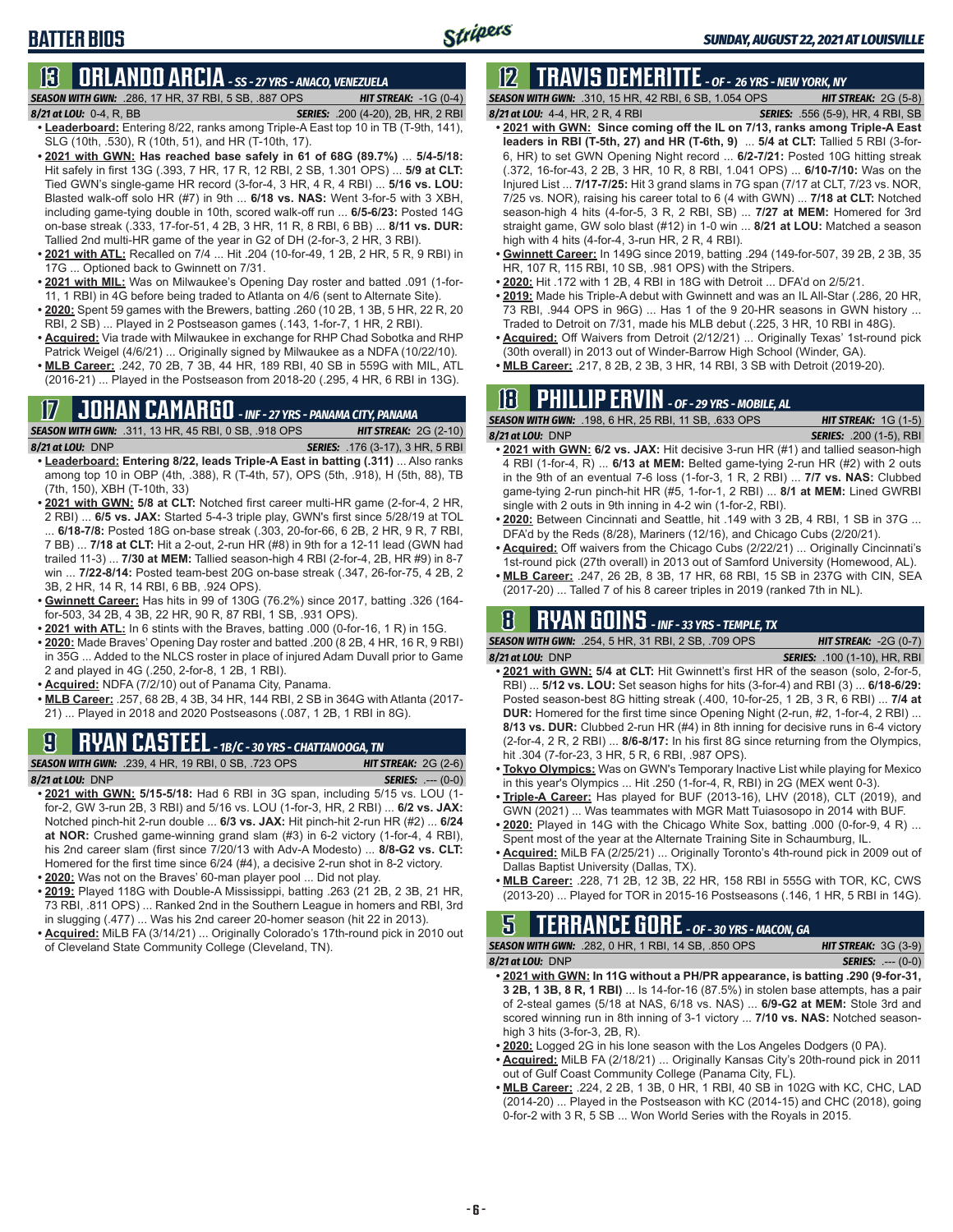**BATTER BIOS**

**13 ORLANDO ARCIA** *- SS - 27 YRS - ANACO, VENEZUELA SEASON WITH GWN:*.286, 17 HR, 37 RBI, 5 SB, .887 OPS *HIT STREAK:* -1G (0-4)

- *8/21 at LOU:*0-4, R, BB *SERIES:* .200 (4-20), 2B, HR, 2 RBI **• Leaderboard:** Entering 8/22, ranks among Triple-A East top 10 in TB (T-9th, 141), SLG (10th, .530), R (10th, 51), and HR (T-10th, 17).
- **• 2021 with GWN: Has reached base safely in 61 of 68G (89.7%)** ... **5/4-5/18:**  Hit safely in first 13G (.393, 7 HR, 17 R, 12 RBI, 2 SB, 1.301 OPS) ... **5/9 at CLT:** Tied GWN's single-game HR record (3-for-4, 3 HR, 4 R, 4 RBI) ... **5/16 vs. LOU:** Blasted walk-off solo HR (#7) in 9th ... **6/18 vs. NAS:** Went 3-for-5 with 3 XBH, including game-tying double in 10th, scored walk-off run ... **6/5-6/23:** Posted 14G on-base streak (.333, 17-for-51, 4 2B, 3 HR, 11 R, 8 RBI, 6 BB) ... **8/11 vs. DUR:** Tallied 2nd multi-HR game of the year in G2 of DH (2-for-3, 2 HR, 3 RBI).
- **• 2021 with ATL:** Recalled on 7/4 ... Hit .204 (10-for-49, 1 2B, 2 HR, 5 R, 9 RBI) in 17G ... Optioned back to Gwinnett on 7/31.
- **• 2021 with MIL:** Was on Milwaukee's Opening Day roster and batted .091 (1-for-11, 1 RBI) in 4G before being traded to Atlanta on 4/6 (sent to Alternate Site).
- **• 2020:** Spent 59 games with the Brewers, batting .260 (10 2B, 1 3B, 5 HR, 22 R, 20 RBI, 2 SB) ... Played in 2 Postseason games (.143, 1-for-7, 1 HR, 2 RBI).
- **• Acquired:** Via trade with Milwaukee in exchange for RHP Chad Sobotka and RHP Patrick Weigel (4/6/21) ... Originally signed by Milwaukee as a NDFA (10/22/10).
- **• MLB Career:** .242, 70 2B, 7 3B, 44 HR, 189 RBI, 40 SB in 559G with MIL, ATL (2016-21) ... Played in the Postseason from 2018-20 (.295, 4 HR, 6 RBI in 13G).

### **17 JOHAN CAMARGO** *- INF - 27 YRS - PANAMA CITY, PANAMA*

*SEASON WITH GWN:*.311, 13 HR, 45 RBI, 0 SB, .918 OPS *HIT STREAK:* 2G (2-10) *8/21 at LOU:* DNP *SERIES:* .176 (3-17), 3 HR, 5 RBI

- **• Leaderboard: Entering 8/22, leads Triple-A East in batting (.311)** ... Also ranks among top 10 in OBP (4th, .388), R (T-4th, 57), OPS (5th, .918), H (5th, 88), TB (7th, 150), XBH (T-10th, 33)
- **• 2021 with GWN: 5/8 at CLT:** Notched first career multi-HR game (2-for-4, 2 HR, 2 RBI) ... **6/5 vs. JAX:** Started 5-4-3 triple play, GWN's first since 5/28/19 at TOL ... **6/18-7/8:** Posted 18G on-base streak (.303, 20-for-66, 6 2B, 2 HR, 9 R, 7 RBI, 7 BB) ... **7/18 at CLT:** Hit a 2-out, 2-run HR (#8) in 9th for a 12-11 lead (GWN had trailed 11-3) ... **7/30 at MEM:** Tallied season-high 4 RBI (2-for-4, 2B, HR #9) in 8-7 win ... **7/22-8/14:** Posted team-best 20G on-base streak (.347, 26-for-75, 4 2B, 2 3B, 2 HR, 14 R, 14 RBI, 6 BB, .924 OPS).
- **• Gwinnett Career:** Has hits in 99 of 130G (76.2%) since 2017, batting .326 (164 for-503, 34 2B, 4 3B, 22 HR, 90 R, 87 RBI, 1 SB, .931 OPS).
- **• 2021 with ATL:** In 6 stints with the Braves, batting .000 (0-for-16, 1 R) in 15G.
- **• 2020:** Made Braves' Opening Day roster and batted .200 (8 2B, 4 HR, 16 R, 9 RBI) in 35G ... Added to the NLCS roster in place of injured Adam Duvall prior to Game 2 and played in 4G (.250, 2-for-8, 1 2B, 1 RBI).
- **• Acquired:** NDFA (7/2/10) out of Panama City, Panama.
- **• MLB Career:** .257, 68 2B, 4 3B, 34 HR, 144 RBI, 2 SB in 364G with Atlanta (2017- 21) ... Played in 2018 and 2020 Postseasons (.087, 1 2B, 1 RBI in 8G).

# **9 RYAN CASTEEL** *- 1B/C - 30 YRS - CHATTANOOGA, TN*

|                  | <b>SEASON WITH GWN:</b> .239, 4 HR, 19 RBI, 0 SB, .723 OPS | <b>HIT STREAK:</b> $2G(2-6)$ |                                       |
|------------------|------------------------------------------------------------|------------------------------|---------------------------------------|
| 8/21 at LOU: DNP |                                                            |                              | <b>SERIES: <math>--- (0-0)</math></b> |

- **• 2021 with GWN: 5/15-5/18:** Had 6 RBI in 3G span, including 5/15 vs. LOU (1 for-2, GW 3-run 2B, 3 RBI) and 5/16 vs. LOU (1-for-3, HR, 2 RBI) ... **6/2 vs. JAX:** Notched pinch-hit 2-run double ... **6/3 vs. JAX:** Hit pinch-hit 2-run HR (#2) ... **6/24 at NOR:** Crushed game-winning grand slam (#3) in 6-2 victory (1-for-4, 4 RBI), his 2nd career slam (first since 7/20/13 with Adv-A Modesto) ... **8/8-G2 vs. CLT:** Homered for the first time since 6/24 (#4), a decisive 2-run shot in 8-2 victory.
- **• 2020:** Was not on the Braves' 60-man player pool ... Did not play.
- **• 2019:** Played 118G with Double-A Mississippi, batting .263 (21 2B, 2 3B, 21 HR, 73 RBI, .811 OPS) ... Ranked 2nd in the Southern League in homers and RBI, 3rd in slugging (.477) ... Was his 2nd career 20-homer season (hit 22 in 2013).
- **• Acquired:** MiLB FA (3/14/21) ... Originally Colorado's 17th-round pick in 2010 out of Cleveland State Community College (Cleveland, TN).

# **12 TRAVIS DEMERITTE** *- OF - 26 YRS - NEW YORK, NY*

*SEASON WITH GWN:*.310, 15 HR, 42 RBI, 6 SB, 1.054 OPS *HIT STREAK:* 2G (5-8) *8/21 at LOU:*4-4, HR, 2 R, 4 RBI *SERIES:* .556 (5-9), HR, 4 RBI, SB

- 
- **• 2021 with GWN: Since coming off the IL on 7/13, ranks among Triple-A East leaders in RBI (T-5th, 27) and HR (T-6th, 9)** ... **5/4 at CLT:** Tallied 5 RBI (3-for-6, HR) to set GWN Opening Night record ... **6/2-7/21:** Posted 10G hitting streak (.372, 16-for-43, 2 2B, 3 HR, 10 R, 8 RBI, 1.041 OPS) ... **6/10-7/10:** Was on the Injured List ... **7/17-7/25:** Hit 3 grand slams in 7G span (7/17 at CLT, 7/23 vs. NOR, 7/25 vs. NOR), raising his career total to 6 (4 with GWN) ... **7/18 at CLT:** Notched season-high 4 hits (4-for-5, 3 R, 2 RBI, SB) ... **7/27 at MEM:** Homered for 3rd straight game, GW solo blast (#12) in 1-0 win ... **8/21 at LOU:** Matched a season high with 4 hits (4-for-4, 3-run HR, 2 R, 4 RBI).
- **• Gwinnett Career:** In 149G since 2019, batting .294 (149-for-507, 39 2B, 2 3B, 35 HR, 107 R, 115 RBI, 10 SB, .981 OPS) with the Stripers.
- **• 2020:** Hit .172 with 1 2B, 4 RBI in 18G with Detroit ... DFA'd on 2/5/21.
- **• 2019:** Made his Triple-A debut with Gwinnett and was an IL All-Star (.286, 20 HR, 73 RBI, .944 OPS in 96G) ... Has 1 of the 9 20-HR seasons in GWN history ... Traded to Detroit on 7/31, made his MLB debut (.225, 3 HR, 10 RBI in 48G).
- **• Acquired:** Off Waivers from Detroit (2/12/21) ... Originally Texas' 1st-round pick (30th overall) in 2013 out of Winder-Barrow High School (Winder, GA).
- **• MLB Career:** .217, 8 2B, 2 3B, 3 HR, 14 RBI, 3 SB with Detroit (2019-20).

# **18 PHILLIP ERVIN** *- OF - 29 YRS - MOBILE, AL*

*SEASON WITH GWN:*.198, 6 HR, 25 RBI, 11 SB, .633 OPS *HIT STREAK:* 1G (1-5) *8/21 at LOU:*DNP *SERIES:* .200 (1-5), RBI

- **• 2021 with GWN: 6/2 vs. JAX:** Hit decisive 3-run HR (#1) and tallied season-high 4 RBI (1-for-4, R) ... **6/13 at MEM:** Belted game-tying 2-run HR (#2) with 2 outs in the 9th of an eventual 7-6 loss (1-for-3, 1 R, 2 RBI) ... **7/7 vs. NAS:** Clubbed game-tying 2-run pinch-hit HR (#5, 1-for-1, 2 RBI) ... **8/1 at MEM:** Lined GWRBI single with 2 outs in 9th inning in 4-2 win (1-for-2, RBI).
- **• 2020:** Between Cincinnati and Seattle, hit .149 with 3 2B, 4 RBI, 1 SB in 37G ... DFA'd by the Reds (8/28), Mariners (12/16), and Chicago Cubs (2/20/21).
- **• Acquired:** Off waivers from the Chicago Cubs (2/22/21) ... Originally Cincinnati's 1st-round pick (27th overall) in 2013 out of Samford University (Homewood, AL).
- **• MLB Career:** .247, 26 2B, 8 3B, 17 HR, 68 RBI, 15 SB in 237G with CIN, SEA (2017-20) ... Talled 7 of his 8 career triples in 2019 (ranked 7th in NL).

### **8 RYAN GOINS** *- INF - 33 YRS - TEMPLE, TX*

*SEASON WITH GWN:*.254, 5 HR, 31 RBI, 2 SB, .709 OPS *HIT STREAK:* -2G (0-7)

- *8/21 at LOU:*DNP *SERIES:* .100 (1-10), HR, RBI **• 2021 with GWN: 5/4 at CLT:** Hit Gwinnett's first HR of the season (solo, 2-for-5, RBI) ... **5/12 vs. LOU:** Set season highs for hits (3-for-4) and RBI (3) ... **6/18-6/29:** Posted season-best 8G hitting streak (.400, 10-for-25, 1 2B, 3 R, 6 RBI) ... **7/4 at DUR:** Homered for the first time since Opening Night (2-run, #2, 1-for-4, 2 RBI) ... **8/13 vs. DUR:** Clubbed 2-run HR (#4) in 8th inning for decisive runs in 6-4 victory (2-for-4, 2 R, 2 RBI) ... **8/6-8/17:** In his first 8G since returning from the Olympics, hit .304 (7-for-23, 3 HR, 5 R, 6 RBI, .987 OPS).
- **• Tokyo Olympics:** Was on GWN's Temporary Inactive List while playing for Mexico in this year's Olympics ... Hit .250 (1-for-4, R, RBI) in 2G (MEX went 0-3).
- **• Triple-A Career:** Has played for BUF (2013-16), LHV (2018), CLT (2019), and GWN (2021) ... Was teammates with MGR Matt Tuiasosopo in 2014 with BUF.
- **• 2020:** Played in 14G with the Chicago White Sox, batting .000 (0-for-9, 4 R) ... Spent most of the year at the Alternate Training Site in Schaumburg, IL.
- **• Acquired:** MiLB FA (2/25/21) ... Originally Toronto's 4th-round pick in 2009 out of Dallas Baptist University (Dallas, TX).
- **• MLB Career:** .228, 71 2B, 12 3B, 22 HR, 158 RBI in 555G with TOR, KC, CWS (2013-20) ... Played for TOR in 2015-16 Postseasons (.146, 1 HR, 5 RBI in 14G).

#### **5 TERRANCE GORE** *- OF - 30 YRS - MACON, GA SEASON WITH GWN:*.282, 0 HR, 1 RBI, 14 SB, .850 OPS *HIT STREAK:* 3G (3-9)

*8/21 at LOU:*DNP *SERIES:* .--- (0-0)

- **• 2021 with GWN: In 11G without a PH/PR appearance, is batting .290 (9-for-31, 3 2B, 1 3B, 8 R, 1 RBI)** ... Is 14-for-16 (87.5%) in stolen base attempts, has a pair of 2-steal games (5/18 at NAS, 6/18 vs. NAS) ... **6/9-G2 at MEM:** Stole 3rd and scored winning run in 8th inning of 3-1 victory ... **7/10 vs. NAS:** Notched seasonhigh 3 hits (3-for-3, 2B, R).
- **• 2020:** Logged 2G in his lone season with the Los Angeles Dodgers (0 PA).
- **• Acquired:** MiLB FA (2/18/21) ... Originally Kansas City's 20th-round pick in 2011 out of Gulf Coast Community College (Panama City, FL).
- **• MLB Career:** .224, 2 2B, 1 3B, 0 HR, 1 RBI, 40 SB in 102G with KC, CHC, LAD (2014-20) ... Played in the Postseason with KC (2014-15) and CHC (2018), going 0-for-2 with 3 R, 5 SB ... Won World Series with the Royals in 2015.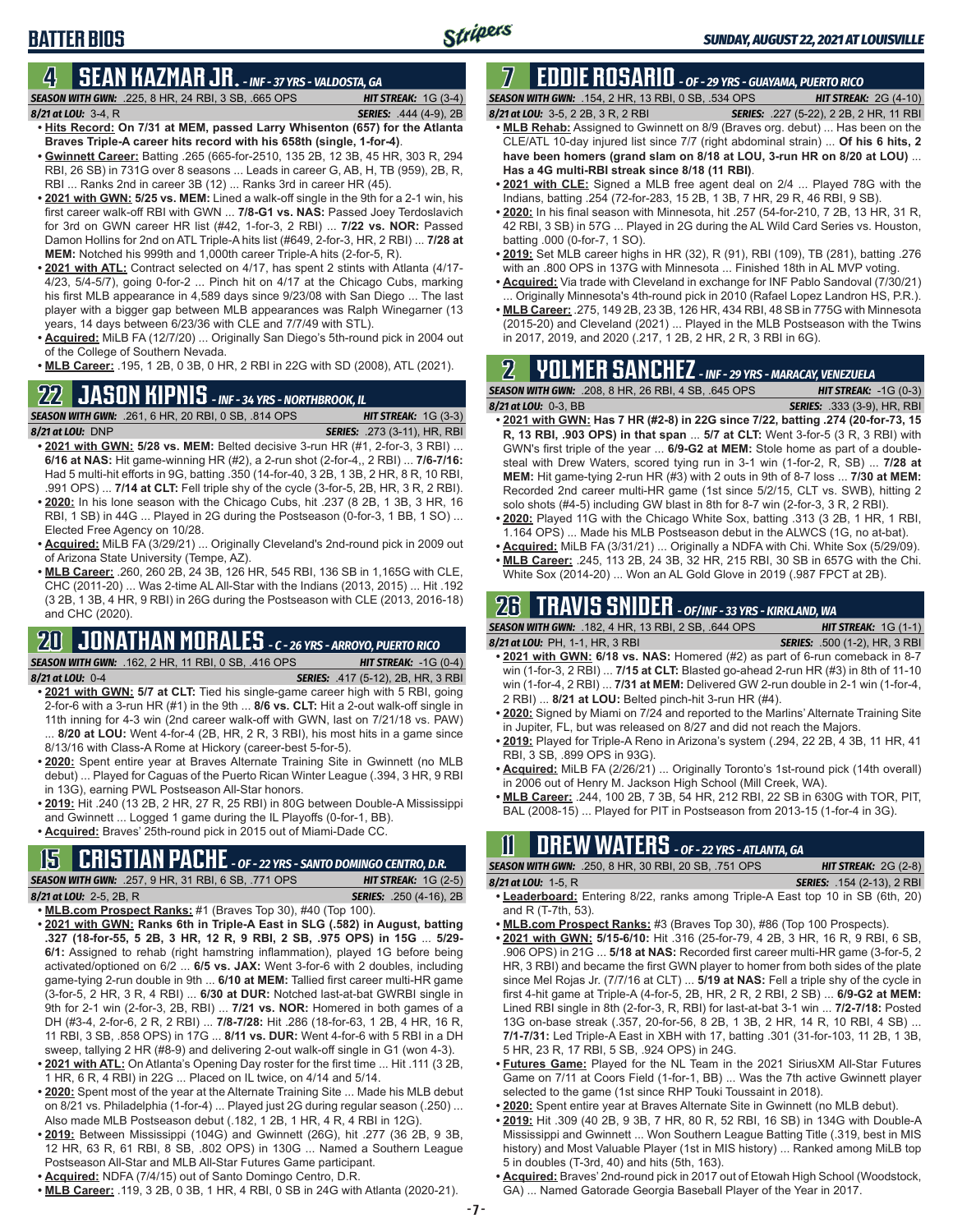# **4 SEAN KAZMAR JR.** *- INF - 37 YRS - VALDOSTA, GA*

*SEASON WITH GWN:*.225, 8 HR, 24 RBI, 3 SB, .665 OPS *HIT STREAK:* 1G (3-4) *8/21 at LOU:*3-4, R *SERIES:* .444 (4-9), 2B

**BATTER BIOS**

- **• Hits Record: On 7/31 at MEM, passed Larry Whisenton (657) for the Atlanta Braves Triple-A career hits record with his 658th (single, 1-for-4)**. **• Gwinnett Career:** Batting .265 (665-for-2510, 135 2B, 12 3B, 45 HR, 303 R, 294
- RBI, 26 SB) in 731G over 8 seasons ... Leads in career G, AB, H, TB (959), 2B, R, RBI ... Ranks 2nd in career 3B (12) ... Ranks 3rd in career HR (45).
- **• 2021 with GWN: 5/25 vs. MEM:** Lined a walk-off single in the 9th for a 2-1 win, his first career walk-off RBI with GWN ... **7/8-G1 vs. NAS:** Passed Joey Terdoslavich for 3rd on GWN career HR list (#42, 1-for-3, 2 RBI) ... **7/22 vs. NOR:** Passed Damon Hollins for 2nd on ATL Triple-A hits list (#649, 2-for-3, HR, 2 RBI) ... **7/28 at MEM:** Notched his 999th and 1,000th career Triple-A hits (2-for-5, R).
- **• 2021 with ATL:** Contract selected on 4/17, has spent 2 stints with Atlanta (4/17- 4/23, 5/4-5/7), going 0-for-2 ... Pinch hit on 4/17 at the Chicago Cubs, marking his first MLB appearance in 4,589 days since 9/23/08 with San Diego ... The last player with a bigger gap between MLB appearances was Ralph Winegarner (13 years, 14 days between 6/23/36 with CLE and 7/7/49 with STL).
- **• Acquired:** MiLB FA (12/7/20) ... Originally San Diego's 5th-round pick in 2004 out of the College of Southern Nevada.
- **• MLB Career:** .195, 1 2B, 0 3B, 0 HR, 2 RBI in 22G with SD (2008), ATL (2021).

# **22 JASON KIPNIS** *- INF - 34 YRS - NORTHBROOK, IL*

*SEASON WITH GWN:*.261, 6 HR, 20 RBI, 0 SB, .814 OPS *HIT STREAK:* 1G (3-3) *8/21 at LOU:*DNP *SERIES:* .273 (3-11), HR, RBI

- **• 2021 with GWN: 5/28 vs. MEM:** Belted decisive 3-run HR (#1, 2-for-3, 3 RBI) ... **6/16 at NAS:** Hit game-winning HR (#2), a 2-run shot (2-for-4,, 2 RBI) ... **7/6-7/16:** Had 5 multi-hit efforts in 9G, batting .350 (14-for-40, 3 2B, 1 3B, 2 HR, 8 R, 10 RBI, .991 OPS) ... **7/14 at CLT:** Fell triple shy of the cycle (3-for-5, 2B, HR, 3 R, 2 RBI).
- **• 2020:** In his lone season with the Chicago Cubs, hit .237 (8 2B, 1 3B, 3 HR, 16 RBI, 1 SB) in 44G ... Played in 2G during the Postseason (0-for-3, 1 BB, 1 SO) ... Elected Free Agency on 10/28.
- **• Acquired:** MiLB FA (3/29/21) ... Originally Cleveland's 2nd-round pick in 2009 out of Arizona State University (Tempe, AZ).
- **• MLB Career:** .260, 260 2B, 24 3B, 126 HR, 545 RBI, 136 SB in 1,165G with CLE, CHC (2011-20) ... Was 2-time AL All-Star with the Indians (2013, 2015) ... Hit .192 (3 2B, 1 3B, 4 HR, 9 RBI) in 26G during the Postseason with CLE (2013, 2016-18) and CHC (2020).

### **20 JONATHAN MORALES** *- C - 26 YRS - ARROYO, PUERTO RICO SEASON WITH GWN:*.162, 2 HR, 11 RBI, 0 SB, .416 OPS *HIT STREAK:* -1G (0-4)

- *8/21 at LOU:*0-4 *SERIES:* .417 (5-12), 2B, HR, 3 RBI **• 2021 with GWN: 5/7 at CLT:** Tied his single-game career high with 5 RBI, going 2-for-6 with a 3-run HR (#1) in the 9th ... **8/6 vs. CLT:** Hit a 2-out walk-off single in 11th inning for 4-3 win (2nd career walk-off with GWN, last on 7/21/18 vs. PAW) ... **8/20 at LOU:** Went 4-for-4 (2B, HR, 2 R, 3 RBI), his most hits in a game since 8/13/16 with Class-A Rome at Hickory (career-best 5-for-5).
- **• 2020:** Spent entire year at Braves Alternate Training Site in Gwinnett (no MLB debut) ... Played for Caguas of the Puerto Rican Winter League (.394, 3 HR, 9 RBI in 13G), earning PWL Postseason All-Star honors.
- **• 2019:** Hit .240 (13 2B, 2 HR, 27 R, 25 RBI) in 80G between Double-A Mississippi and Gwinnett ... Logged 1 game during the IL Playoffs (0-for-1, BB).
- **• Acquired:** Braves' 25th-round pick in 2015 out of Miami-Dade CC.

# **15 CRISTIAN PACHE** *- OF - 22 YRS - SANTO DOMINGO CENTRO, D.R.*

*SEASON WITH GWN:*.257, 9 HR, 31 RBI, 6 SB, .771 OPS *HIT STREAK:* 1G (2-5)

*8/21 at LOU:* 2-5, 2B, R *SERIES:* .250 (4-16), 2B **• MLB.com Prospect Ranks:** #1 (Braves Top 30), #40 (Top 100).

- **• 2021 with GWN: Ranks 6th in Triple-A East in SLG (.582) in August, batting .327 (18-for-55, 5 2B, 3 HR, 12 R, 9 RBI, 2 SB, .975 OPS) in 15G** ... **5/29- 6/1:** Assigned to rehab (right hamstring inflammation), played 1G before being activated/optioned on 6/2 ... **6/5 vs. JAX:** Went 3-for-6 with 2 doubles, including game-tying 2-run double in 9th ... **6/10 at MEM:** Tallied first career multi-HR game (3-for-5, 2 HR, 3 R, 4 RBI) ... **6/30 at DUR:** Notched last-at-bat GWRBI single in 9th for 2-1 win (2-for-3, 2B, RBI) ... **7/21 vs. NOR:** Homered in both games of a DH (#3-4, 2-for-6, 2 R, 2 RBI) ... **7/8-7/28:** Hit .286 (18-for-63, 1 2B, 4 HR, 16 R, 11 RBI, 3 SB, .858 OPS) in 17G ... **8/11 vs. DUR:** Went 4-for-6 with 5 RBI in a DH sweep, tallying 2 HR (#8-9) and delivering 2-out walk-off single in G1 (won 4-3).
- **• 2021 with ATL:** On Atlanta's Opening Day roster for the first time ... Hit .111 (3 2B, 1 HR, 6 R, 4 RBI) in 22G ... Placed on IL twice, on 4/14 and 5/14.
- **• 2020:** Spent most of the year at the Alternate Training Site ... Made his MLB debut on 8/21 vs. Philadelphia (1-for-4) ... Played just 2G during regular season (.250) ... Also made MLB Postseason debut (.182, 1 2B, 1 HR, 4 R, 4 RBI in 12G).
- **• 2019:** Between Mississippi (104G) and Gwinnett (26G), hit .277 (36 2B, 9 3B, 12 HR, 63 R, 61 RBI, 8 SB, .802 OPS) in 130G ... Named a Southern League Postseason All-Star and MLB All-Star Futures Game participant.
- **• Acquired:** NDFA (7/4/15) out of Santo Domingo Centro, D.R.
- **• MLB Career:** .119, 3 2B, 0 3B, 1 HR, 4 RBI, 0 SB in 24G with Atlanta (2020-21).

# **7 EDDIE ROSARIO** *- OF - 29 YRS - GUAYAMA, PUERTO RICO*

*SEASON WITH GWN:*.154, 2 HR, 13 RBI, 0 SB, .534 OPS *HIT STREAK:* 2G (4-10)

- *8/21 at LOU:* 3-5, 2 2B, 3 R, 2 RBI *SERIES:* .227 (5-22), 2 2B, 2 HR, 11 RBI **• MLB Rehab:** Assigned to Gwinnett on 8/9 (Braves org. debut) ... Has been on the CLE/ATL 10-day injured list since 7/7 (right abdominal strain) ... **Of his 6 hits, 2 have been homers (grand slam on 8/18 at LOU, 3-run HR on 8/20 at LOU)** ... **Has a 4G multi-RBI streak since 8/18 (11 RBI)**.
- **• 2021 with CLE:** Signed a MLB free agent deal on 2/4 ... Played 78G with the Indians, batting .254 (72-for-283, 15 2B, 1 3B, 7 HR, 29 R, 46 RBI, 9 SB).
- **• 2020:** In his final season with Minnesota, hit .257 (54-for-210, 7 2B, 13 HR, 31 R, 42 RBI, 3 SB) in 57G ... Played in 2G during the AL Wild Card Series vs. Houston, batting .000 (0-for-7, 1 SO).
- **• 2019:** Set MLB career highs in HR (32), R (91), RBI (109), TB (281), batting .276 with an .800 OPS in 137G with Minnesota ... Finished 18th in AL MVP voting.
- **• Acquired:** Via trade with Cleveland in exchange for INF Pablo Sandoval (7/30/21) Originally Minnesota's 4th-round pick in 2010 (Rafael Lopez Landron HS, P.R.).
- **• MLB Career:** .275, 149 2B, 23 3B, 126 HR, 434 RBI, 48 SB in 775G with Minnesota (2015-20) and Cleveland (2021) ... Played in the MLB Postseason with the Twins in 2017, 2019, and 2020 (.217, 1 2B, 2 HR, 2 R, 3 RBI in 6G).

# **2 YOLMER SANCHEZ** *- INF - 29 YRS - MARACAY, VENEZUELA*

*SEASON WITH GWN:*.208, 8 HR, 26 RBI, 4 SB, .645 OPS *HIT STREAK:* -1G (0-3)

- *8/21 at LOU:*0-3, BB *SERIES:* .333 (3-9), HR, RBI **• 2021 with GWN: Has 7 HR (#2-8) in 22G since 7/22, batting .274 (20-for-73, 15 R, 13 RBI, .903 OPS) in that span** ... **5/7 at CLT:** Went 3-for-5 (3 R, 3 RBI) with GWN's first triple of the year ... **6/9-G2 at MEM:** Stole home as part of a doublesteal with Drew Waters, scored tying run in 3-1 win (1-for-2, R, SB) ... **7/28 at MEM:** Hit game-tying 2-run HR (#3) with 2 outs in 9th of 8-7 loss ... **7/30 at MEM:** Recorded 2nd career multi-HR game (1st since 5/2/15, CLT vs. SWB), hitting 2 solo shots (#4-5) including GW blast in 8th for 8-7 win (2-for-3, 3 R, 2 RBI).
- **• 2020:** Played 11G with the Chicago White Sox, batting .313 (3 2B, 1 HR, 1 RBI, 1.164 OPS) ... Made his MLB Postseason debut in the ALWCS (1G, no at-bat).
- **• Acquired:** MiLB FA (3/31/21) ... Originally a NDFA with Chi. White Sox (5/29/09). **• MLB Career:** .245, 113 2B, 24 3B, 32 HR, 215 RBI, 30 SB in 657G with the Chi.
- White Sox (2014-20) ... Won an AL Gold Glove in 2019 (.987 FPCT at 2B).

# **26 TRAVIS SNIDER** *- OF/INF - 33 YRS - KIRKLAND, WA*

| <b>SEASON WITH GWN:</b> .182, 4 HR, 13 RBI, 2 SB, .644 OPS                             | <b>HIT STREAK:</b> $1G(1-1)$         |
|----------------------------------------------------------------------------------------|--------------------------------------|
| 8/21 at LOU: PH. 1-1. HR. 3 RBI                                                        | <b>SERIES:</b> .500 (1-2), HR, 3 RBI |
| $\bullet$ 2021 with GWN: 6/18 vs. NAS: Homered $(±2)$ as nart of 6-run comeback in 8-7 |                                      |

- **18 vs. NAS:** Homered (#2) as part of 6-run comeback in 8-7 win (1-for-3, 2 RBI) ... **7/15 at CLT:** Blasted go-ahead 2-run HR (#3) in 8th of 11-10 win (1-for-4, 2 RBI) ... **7/31 at MEM:** Delivered GW 2-run double in 2-1 win (1-for-4, 2 RBI) ... **8/21 at LOU:** Belted pinch-hit 3-run HR (#4).
- **• 2020:** Signed by Miami on 7/24 and reported to the Marlins' Alternate Training Site in Jupiter, FL, but was released on 8/27 and did not reach the Majors.
- **• 2019:** Played for Triple-A Reno in Arizona's system (.294, 22 2B, 4 3B, 11 HR, 41 RBI, 3 SB, .899 OPS in 93G).
- **• Acquired:** MiLB FA (2/26/21) ... Originally Toronto's 1st-round pick (14th overall) in 2006 out of Henry M. Jackson High School (Mill Creek, WA).
- **• MLB Career:** .244, 100 2B, 7 3B, 54 HR, 212 RBI, 22 SB in 630G with TOR, PIT, BAL (2008-15) ... Played for PIT in Postseason from 2013-15 (1-for-4 in 3G).

# **11 Drew WATERS** *- OF - 22 YRS - ATLANTA, GA*

*SEASON WITH GWN:*.250, 8 HR, 30 RBI, 20 SB, .751 OPS *HIT STREAK:* 2G (2-8)

| 3 <b>EA3UN WITH GWN:</b> .230. 6 HR. 30 RDI. 20 SD. .73 I OF S                 | $\overline{m}$ i Jikehn, $20(20)$ |
|--------------------------------------------------------------------------------|-----------------------------------|
| 8/21 at LOU: 1-5. R                                                            | <b>SERIES:</b> .154 (2-13). 2 RBI |
| • Leaderboard: Entering 8/22, ranks among Triple-A East top 10 in SB (6th, 20) |                                   |

- and R (T-7th, 53). **• MLB.com Prospect Ranks:** #3 (Braves Top 30), #86 (Top 100 Prospects).
- **• 2021 with GWN: 5/15-6/10:** Hit .316 (25-for-79, 4 2B, 3 HR, 16 R, 9 RBI, 6 SB, .906 OPS) in 21G ... **5/18 at NAS:** Recorded first career multi-HR game (3-for-5, 2 HR, 3 RBI) and became the first GWN player to homer from both sides of the plate since Mel Rojas Jr. (7/7/16 at CLT) ... **5/19 at NAS:** Fell a triple shy of the cycle in first 4-hit game at Triple-A (4-for-5, 2B, HR, 2 R, 2 RBI, 2 SB) ... **6/9-G2 at MEM:** Lined RBI single in 8th (2-for-3, R, RBI) for last-at-bat 3-1 win ... **7/2-7/18:** Posted 13G on-base streak (.357, 20-for-56, 8 2B, 1 3B, 2 HR, 14 R, 10 RBI, 4 SB) ... **7/1-7/31:** Led Triple-A East in XBH with 17, batting .301 (31-for-103, 11 2B, 1 3B, 5 HR, 23 R, 17 RBI, 5 SB, .924 OPS) in 24G.
- **• Futures Game:** Played for the NL Team in the 2021 SiriusXM All-Star Futures Game on 7/11 at Coors Field (1-for-1, BB) ... Was the 7th active Gwinnett player selected to the game (1st since RHP Touki Toussaint in 2018).
- **• 2020:** Spent entire year at Braves Alternate Site in Gwinnett (no MLB debut).
- **• 2019:** Hit .309 (40 2B, 9 3B, 7 HR, 80 R, 52 RBI, 16 SB) in 134G with Double-A Mississippi and Gwinnett ... Won Southern League Batting Title (.319, best in MIS history) and Most Valuable Player (1st in MIS history) ... Ranked among MiLB top 5 in doubles (T-3rd, 40) and hits (5th, 163).
- **• Acquired:** Braves' 2nd-round pick in 2017 out of Etowah High School (Woodstock, GA) ... Named Gatorade Georgia Baseball Player of the Year in 2017.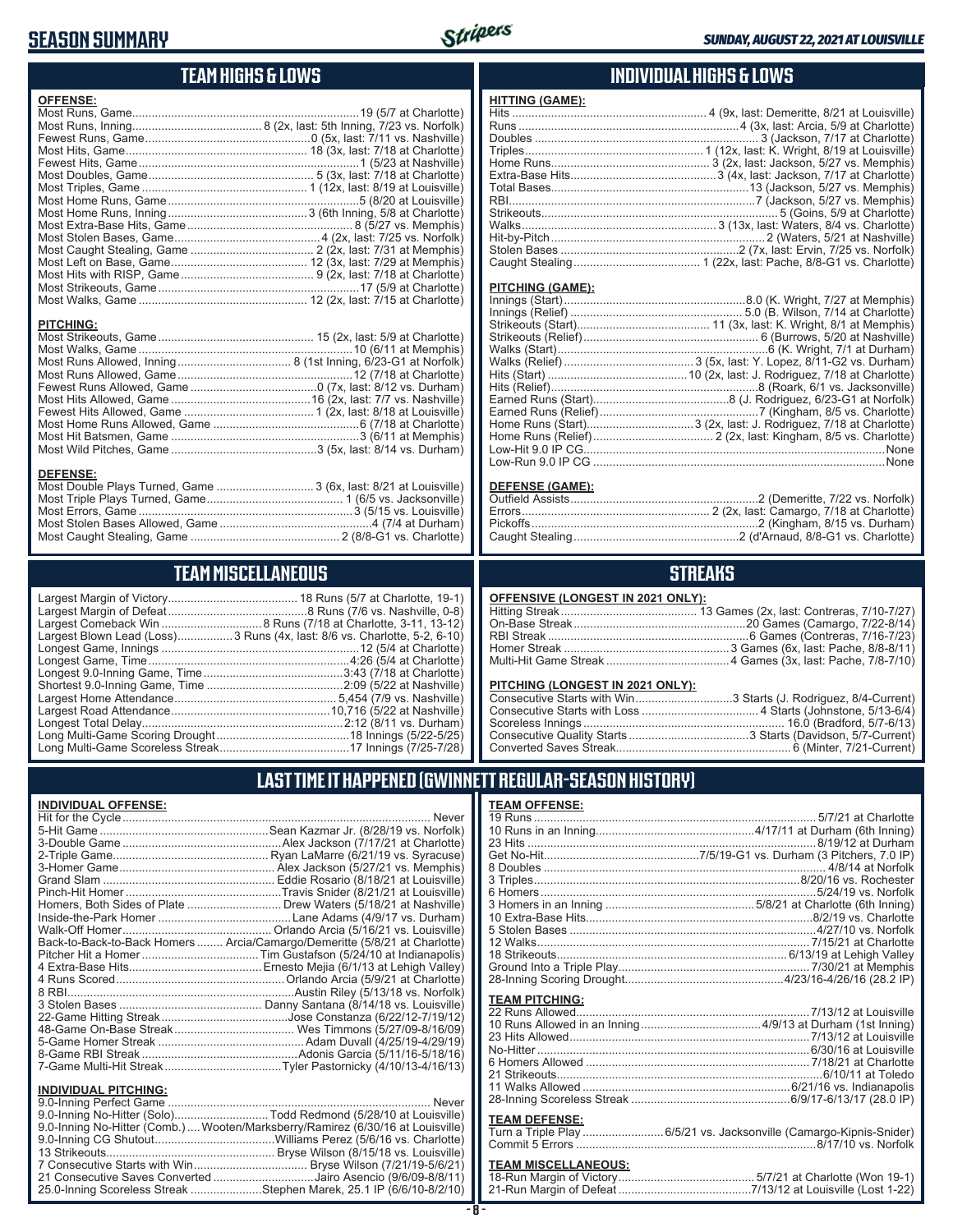### **SEASON SUMMARY**



# **TEAM HIGHS & LOWS**

| <b>OFFENSE:</b>                                                  |  |
|------------------------------------------------------------------|--|
|                                                                  |  |
|                                                                  |  |
|                                                                  |  |
|                                                                  |  |
|                                                                  |  |
|                                                                  |  |
|                                                                  |  |
|                                                                  |  |
|                                                                  |  |
|                                                                  |  |
|                                                                  |  |
|                                                                  |  |
|                                                                  |  |
|                                                                  |  |
|                                                                  |  |
| <b>PITCHING:</b>                                                 |  |
|                                                                  |  |
|                                                                  |  |
|                                                                  |  |
|                                                                  |  |
|                                                                  |  |
|                                                                  |  |
|                                                                  |  |
|                                                                  |  |
|                                                                  |  |
|                                                                  |  |
|                                                                  |  |
| <b>DEFENSE:</b>                                                  |  |
| Most Double Plays Turned, Game  3 (6x, last: 8/21 at Louisville) |  |

### **INDIVIDUAL HIGHS & LOWS**

| <b>HITTING (GAME):</b> |  |
|------------------------|--|
|                        |  |
|                        |  |
|                        |  |
|                        |  |
|                        |  |
|                        |  |
|                        |  |
|                        |  |
|                        |  |
|                        |  |
|                        |  |
|                        |  |
|                        |  |

#### **PITCHING (GAME):**

| None |
|------|
|      |
|      |

#### **DEFENSE (GAME):**

### **STREAKS**

| OFFENSIVE (LONGEST IN 2021 ONLY): |  |
|-----------------------------------|--|
|-----------------------------------|--|

#### **PITCHING (LONGEST IN 2021 ONLY):**

| Consecutive Starts with Win3 Starts (J. Rodriguez, 8/4-Current) |  |
|-----------------------------------------------------------------|--|
|                                                                 |  |
|                                                                 |  |
|                                                                 |  |
|                                                                 |  |
|                                                                 |  |

### **LAST TIME IT HAPPENED (GWINNETT REGULAR-SEASON HISTORY)**

| <b>TEAM OFFENSE:</b>  |                                                          |
|-----------------------|----------------------------------------------------------|
|                       |                                                          |
|                       |                                                          |
|                       |                                                          |
|                       |                                                          |
|                       |                                                          |
|                       |                                                          |
|                       |                                                          |
|                       |                                                          |
|                       |                                                          |
|                       |                                                          |
|                       |                                                          |
|                       |                                                          |
|                       |                                                          |
|                       |                                                          |
|                       |                                                          |
| <b>TEAM PITCHING:</b> |                                                          |
|                       |                                                          |
|                       |                                                          |
|                       |                                                          |
|                       |                                                          |
|                       |                                                          |
| 21 Strikeouts         |                                                          |
|                       |                                                          |
|                       |                                                          |
|                       |                                                          |
| <b>TEAM DEFENSE:</b>  |                                                          |
|                       | لمستحدث والمتحدث والمستنقر المتساوية والمتساوية والمتحدث |

| Turn a Triple Play 6/5/21 vs. Jacksonville (Camargo-Kipnis-Snider) |
|--------------------------------------------------------------------|
|                                                                    |

# **TEAM MISCELLANEOUS:**<br>18-Run Margin of Victory.....

# **TEAM MISCELLANEOUS**

Most Triple Plays Turned, Game .......................................... 1 (6/5 vs. Jacksonville) Most Errors, Game ..................................................................3 (5/15 vs. Louisville) Most Stolen Bases Allowed, Game ...............................................4 (7/4 at Durham) Most Caught Stealing, Game .............................................. 2 (8/8-G1 vs. Charlotte)

| Largest Blown Lead (Loss) 3 Runs (4x, last: 8/6 vs. Charlotte, 5-2, 6-10) |
|---------------------------------------------------------------------------|
|                                                                           |
|                                                                           |
|                                                                           |
|                                                                           |
|                                                                           |
|                                                                           |
|                                                                           |
|                                                                           |
|                                                                           |
|                                                                           |

#### **INDIVIDUAL OFFENSE:**

|                             | Homers, Both Sides of Plate  Drew Waters (5/18/21 at Nashville)            |
|-----------------------------|----------------------------------------------------------------------------|
|                             |                                                                            |
|                             |                                                                            |
|                             | Back-to-Back-to-Back Homers  Arcia/Camargo/Demeritte (5/8/21 at Charlotte) |
|                             |                                                                            |
|                             |                                                                            |
|                             |                                                                            |
|                             |                                                                            |
|                             |                                                                            |
|                             |                                                                            |
|                             |                                                                            |
|                             |                                                                            |
|                             |                                                                            |
|                             |                                                                            |
| <b>INDIVIDUAL PITCHING:</b> |                                                                            |
|                             | $\cdots$                                                                   |

| 9.0-Inning No-Hitter (Solo)Todd Redmond (5/28/10 at Louisville)                |  |
|--------------------------------------------------------------------------------|--|
| 9.0-Inning No-Hitter (Comb.) Wooten/Marksberry/Ramirez (6/30/16 at Louisville) |  |
|                                                                                |  |
|                                                                                |  |
|                                                                                |  |
| 21 Consecutive Saves Converted Jairo Asencio (9/6/09-8/8/11)                   |  |
| 25.0-Inning Scoreless Streak Stephen Marek, 25.1 IP (6/6/10-8/2/10)            |  |
|                                                                                |  |